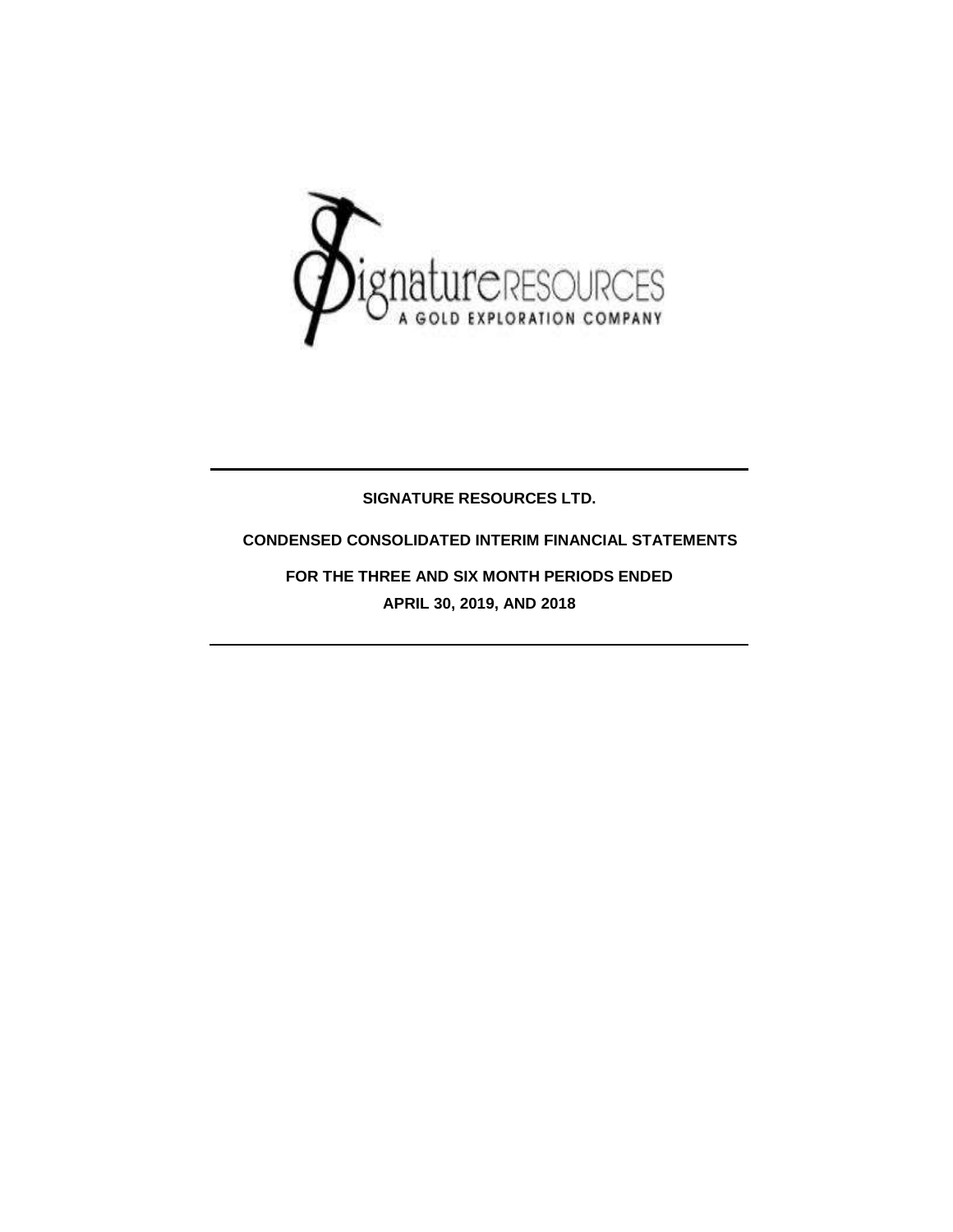

## **SIGNATURE RESOURCES LTD.**

## **CONDENSED CONSOLIDATED INTERIM FINANCIAL STATEMENTS**

**FOR THE THREE AND SIX MONTH PERIODS ENDED APRIL 30, 2019, AND 2018**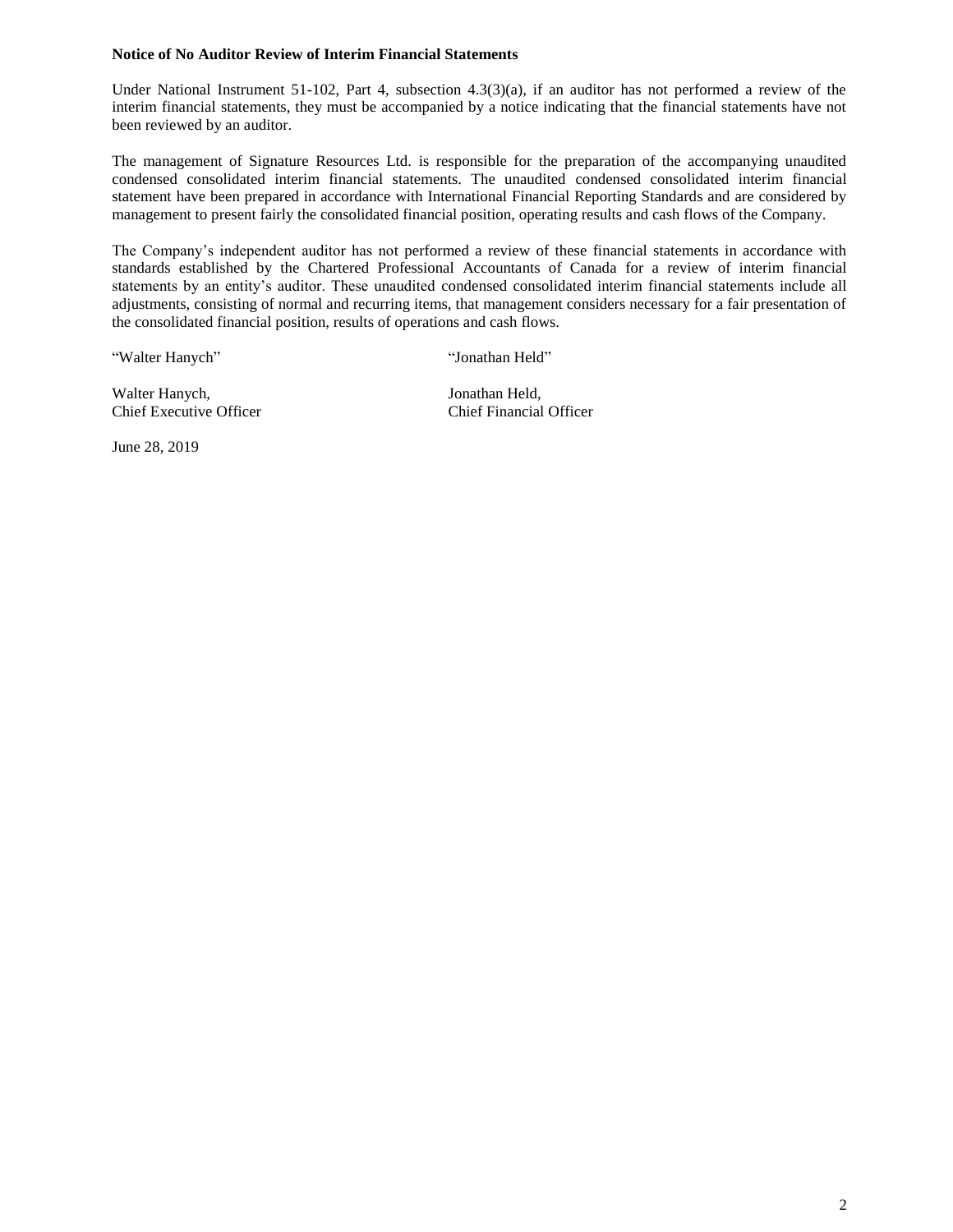#### **Notice of No Auditor Review of Interim Financial Statements**

Under National Instrument 51-102, Part 4, subsection 4.3(3)(a), if an auditor has not performed a review of the interim financial statements, they must be accompanied by a notice indicating that the financial statements have not been reviewed by an auditor.

The management of Signature Resources Ltd. is responsible for the preparation of the accompanying unaudited condensed consolidated interim financial statements. The unaudited condensed consolidated interim financial statement have been prepared in accordance with International Financial Reporting Standards and are considered by management to present fairly the consolidated financial position, operating results and cash flows of the Company.

The Company's independent auditor has not performed a review of these financial statements in accordance with standards established by the Chartered Professional Accountants of Canada for a review of interim financial statements by an entity's auditor. These unaudited condensed consolidated interim financial statements include all adjustments, consisting of normal and recurring items, that management considers necessary for a fair presentation of the consolidated financial position, results of operations and cash flows.

"Walter Hanych" "Jonathan Held"

Walter Hanych, Jonathan Held, Chief Executive Officer Chief Financial Officer

June 28, 2019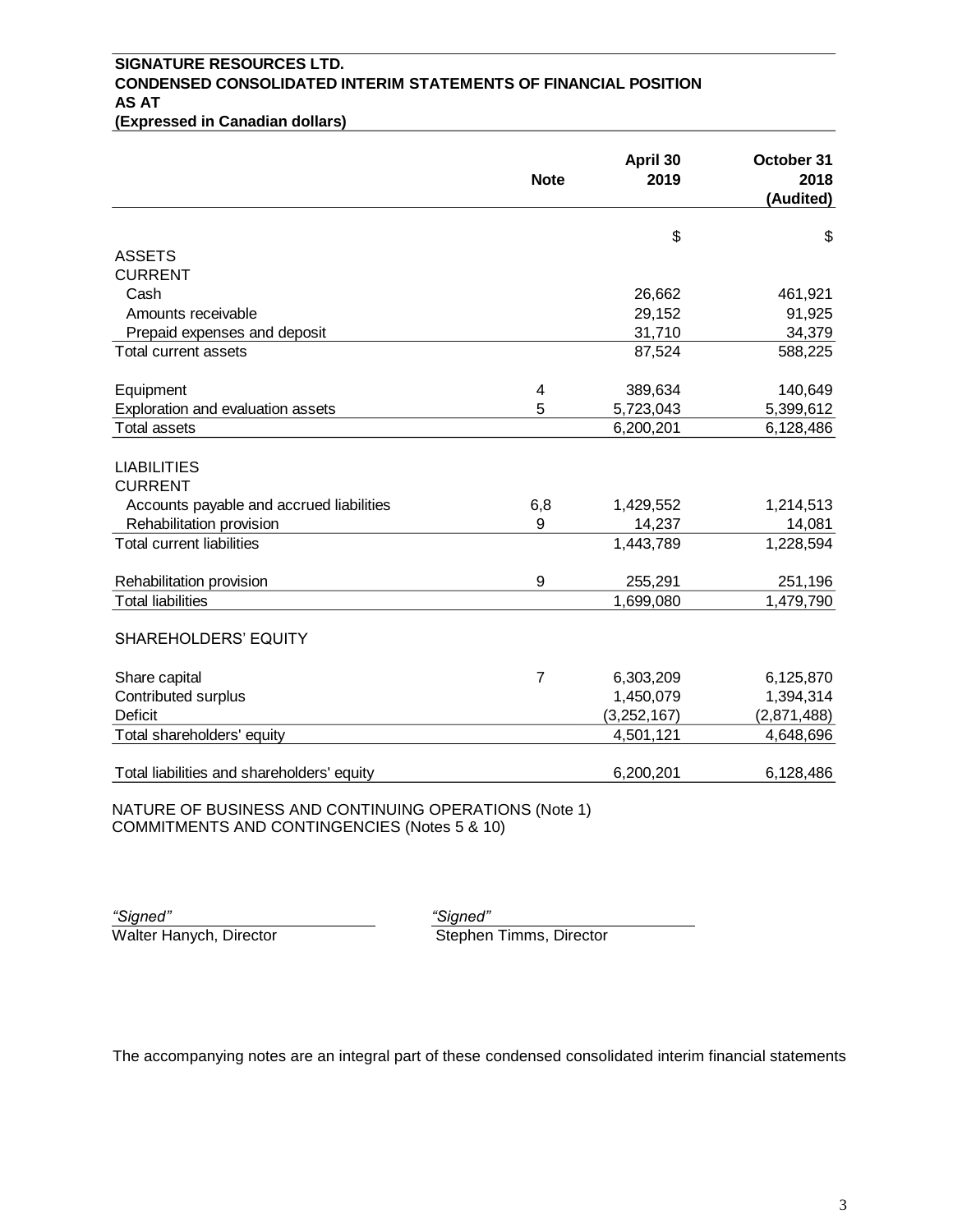# **SIGNATURE RESOURCES LTD. CONDENSED CONSOLIDATED INTERIM STATEMENTS OF FINANCIAL POSITION AS AT**

**(Expressed in Canadian dollars)**

|                                                       | <b>Note</b>    | April 30<br>2019 | October 31<br>2018<br>(Audited) |
|-------------------------------------------------------|----------------|------------------|---------------------------------|
|                                                       |                | \$               | \$                              |
| <b>ASSETS</b>                                         |                |                  |                                 |
| <b>CURRENT</b>                                        |                |                  |                                 |
| Cash                                                  |                | 26,662           | 461,921                         |
| Amounts receivable                                    |                | 29,152           | 91,925                          |
| Prepaid expenses and deposit                          |                | 31,710           | 34,379                          |
| Total current assets                                  |                | 87,524           | 588,225                         |
| Equipment                                             | 4              | 389,634          | 140,649                         |
| Exploration and evaluation assets                     | 5              | 5,723,043        | 5,399,612                       |
| <b>Total assets</b>                                   |                | 6,200,201        | 6,128,486                       |
| <b>LIABILITIES</b>                                    |                |                  |                                 |
| <b>CURRENT</b>                                        |                |                  |                                 |
| Accounts payable and accrued liabilities              | 6,8            | 1,429,552        | 1,214,513                       |
| Rehabilitation provision                              | 9              | 14,237           | 14,081                          |
| <b>Total current liabilities</b>                      |                | 1,443,789        | 1,228,594                       |
| Rehabilitation provision                              | $9$            | 255,291          | 251,196                         |
| <b>Total liabilities</b>                              |                | 1,699,080        | 1,479,790                       |
| <b>SHAREHOLDERS' EQUITY</b>                           |                |                  |                                 |
| Share capital                                         | $\overline{7}$ | 6,303,209        | 6,125,870                       |
| Contributed surplus                                   |                | 1,450,079        | 1,394,314                       |
| <b>Deficit</b>                                        |                | (3, 252, 167)    | (2,871,488)                     |
| Total shareholders' equity                            |                | 4,501,121        | 4,648,696                       |
| Total liabilities and shareholders' equity            |                | 6,200,201        | 6,128,486                       |
| NATURE OF BUSINESS AND CONTINUING OPERATIONS (Note 1) |                |                  |                                 |

COMMITMENTS AND CONTINGENCIES (Notes 5 & 10)

| "Signed"                |  |
|-------------------------|--|
| Walter Hanych, Director |  |

*"Signed" "Signed"* ych, Director **Stephen Timms**, Director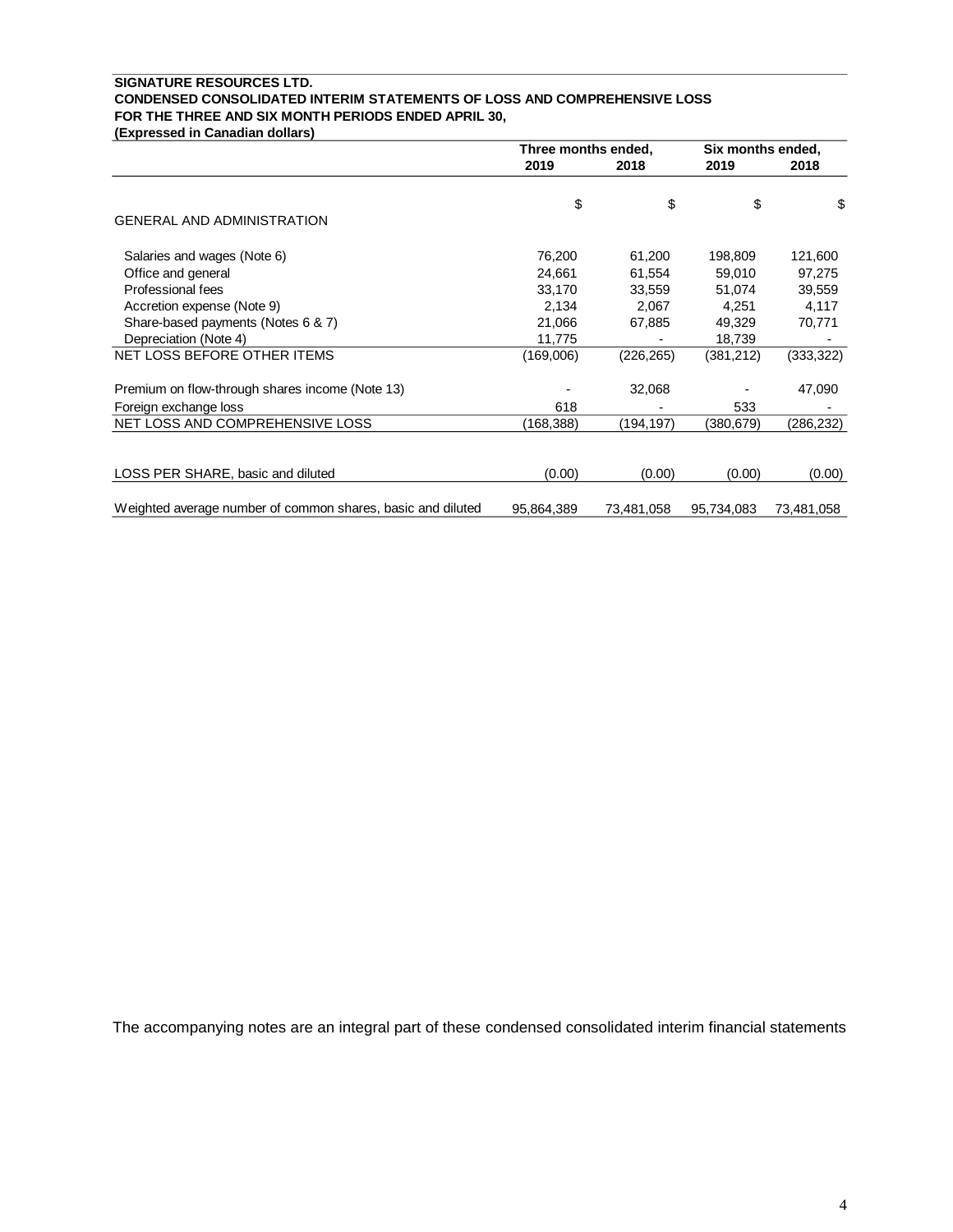### **SIGNATURE RESOURCES LTD. CONDENSED CONSOLIDATED INTERIM STATEMENTS OF LOSS AND COMPREHENSIVE LOSS FOR THE THREE AND SIX MONTH PERIODS ENDED APRIL 30,**

**(Expressed in Canadian dollars)**

|                                                             | Three months ended, |            | Six months ended, |            |
|-------------------------------------------------------------|---------------------|------------|-------------------|------------|
|                                                             | 2019                | 2018       | 2019              | 2018       |
|                                                             | \$                  | \$         | \$                | \$         |
| <b>GENERAL AND ADMINISTRATION</b>                           |                     |            |                   |            |
| Salaries and wages (Note 6)                                 | 76,200              | 61,200     | 198,809           | 121,600    |
| Office and general                                          | 24,661              | 61,554     | 59,010            | 97,275     |
| Professional fees                                           | 33,170              | 33,559     | 51,074            | 39,559     |
| Accretion expense (Note 9)                                  | 2,134               | 2,067      | 4,251             | 4,117      |
| Share-based payments (Notes 6 & 7)                          | 21,066              | 67,885     | 49,329            | 70,771     |
| Depreciation (Note 4)                                       | 11,775              |            | 18,739            |            |
| NET LOSS BEFORE OTHER ITEMS                                 | (169,006)           | (226,265)  | (381, 212)        | (333, 322) |
| Premium on flow-through shares income (Note 13)             |                     | 32,068     |                   | 47,090     |
| Foreign exchange loss                                       | 618                 |            | 533               |            |
| NET LOSS AND COMPREHENSIVE LOSS                             | (168, 388)          | (194,197)  | (380,679)         | (286,232)  |
|                                                             |                     |            |                   |            |
| LOSS PER SHARE, basic and diluted                           | (0.00)              | (0.00)     | (0.00)            | (0.00)     |
|                                                             |                     |            |                   |            |
| Weighted average number of common shares, basic and diluted | 95,864,389          | 73,481,058 | 95,734,083        | 73,481,058 |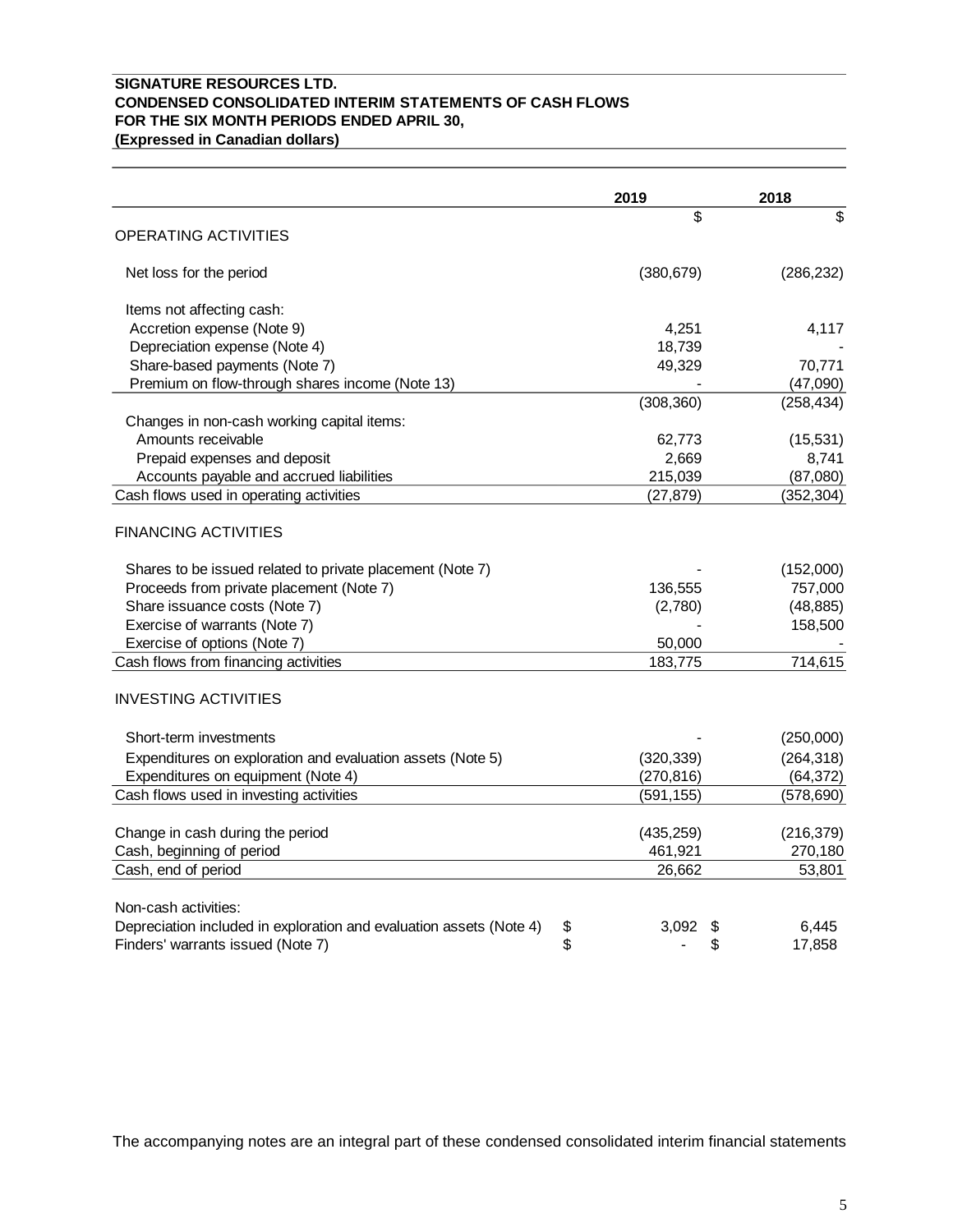### **SIGNATURE RESOURCES LTD. CONDENSED CONSOLIDATED INTERIM STATEMENTS OF CASH FLOWS FOR THE SIX MONTH PERIODS ENDED APRIL 30, (Expressed in Canadian dollars)**

|                                                                           | 2019        | 2018       |
|---------------------------------------------------------------------------|-------------|------------|
|                                                                           | \$          | \$         |
| OPERATING ACTIVITIES                                                      |             |            |
| Net loss for the period                                                   | (380, 679)  | (286, 232) |
| Items not affecting cash:                                                 |             |            |
| Accretion expense (Note 9)                                                | 4,251       | 4,117      |
| Depreciation expense (Note 4)                                             | 18,739      |            |
| Share-based payments (Note 7)                                             | 49,329      | 70,771     |
| Premium on flow-through shares income (Note 13)                           |             | (47,090)   |
|                                                                           | (308, 360)  | (258, 434) |
| Changes in non-cash working capital items:                                |             |            |
| Amounts receivable                                                        | 62,773      | (15,531)   |
| Prepaid expenses and deposit                                              | 2,669       | 8,741      |
| Accounts payable and accrued liabilities                                  | 215,039     | (87,080)   |
| Cash flows used in operating activities                                   | (27, 879)   | (352, 304) |
| <b>FINANCING ACTIVITIES</b>                                               |             |            |
| Shares to be issued related to private placement (Note 7)                 |             | (152,000)  |
| Proceeds from private placement (Note 7)                                  | 136,555     | 757,000    |
| Share issuance costs (Note 7)                                             | (2,780)     | (48, 885)  |
| Exercise of warrants (Note 7)                                             |             | 158,500    |
| Exercise of options (Note 7)                                              | 50,000      |            |
| Cash flows from financing activities                                      | 183,775     | 714,615    |
| <b>INVESTING ACTIVITIES</b>                                               |             |            |
| Short-term investments                                                    |             | (250,000)  |
| Expenditures on exploration and evaluation assets (Note 5)                | (320, 339)  | (264, 318) |
| Expenditures on equipment (Note 4)                                        | (270, 816)  | (64, 372)  |
| Cash flows used in investing activities                                   | (591, 155)  | (578, 690) |
|                                                                           |             |            |
| Change in cash during the period                                          | (435, 259)  | (216, 379) |
| Cash, beginning of period                                                 | 461,921     | 270,180    |
| Cash, end of period                                                       | 26,662      | 53,801     |
| Non-cash activities:                                                      |             |            |
| Depreciation included in exploration and evaluation assets (Note 4)<br>\$ | 3,092<br>\$ | 6,445      |
| \$<br>Finders' warrants issued (Note 7)                                   | \$          | 17,858     |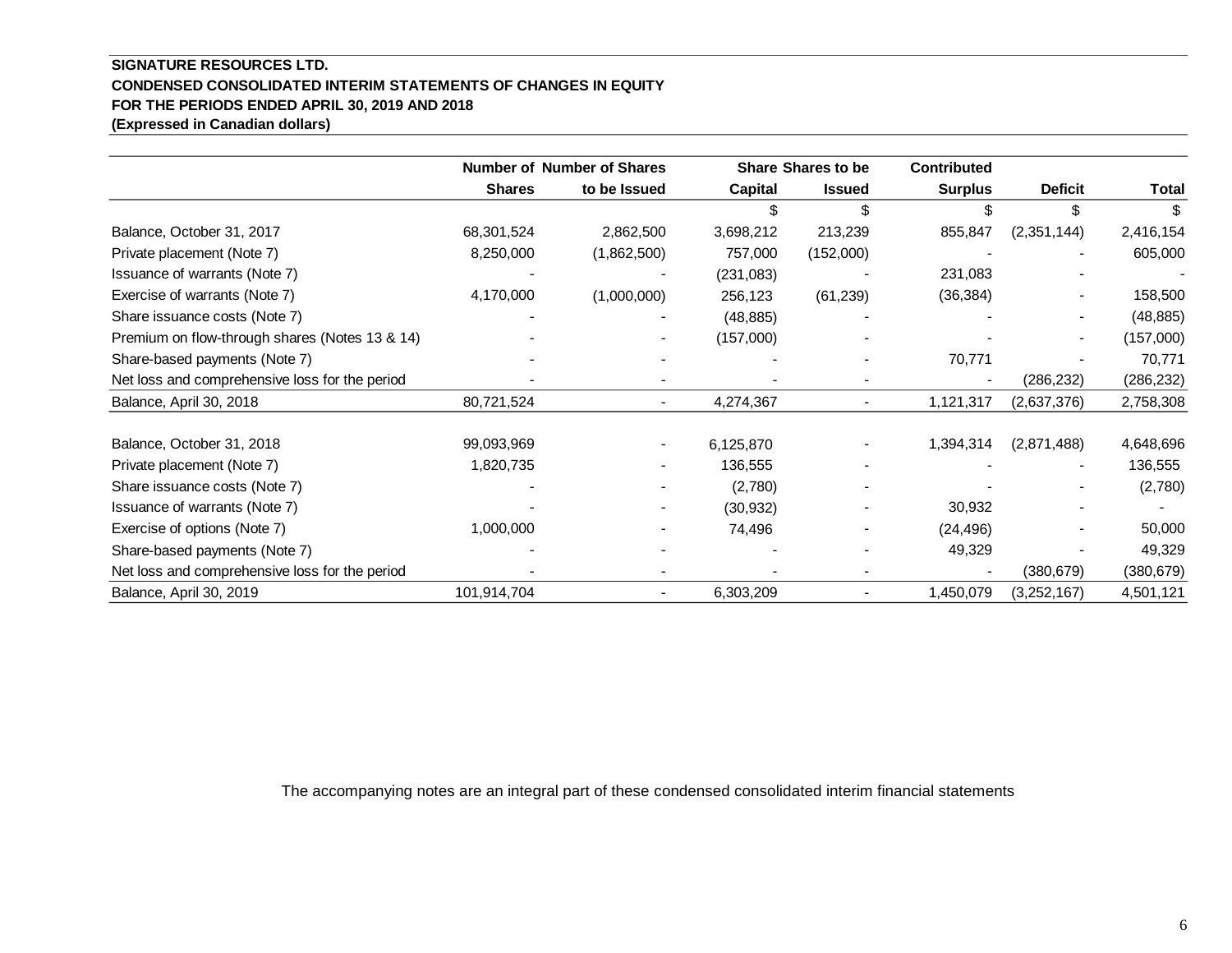## **SIGNATURE RESOURCES LTD. CONDENSED CONSOLIDATED INTERIM STATEMENTS OF CHANGES IN EQUITY FOR THE PERIODS ENDED APRIL 30, 2019 AND 2018 (Expressed in Canadian dollars)**

|                                                | <b>Number of Number of Shares</b> |                |                | <b>Share Shares to be</b> | <b>Contributed</b> |                |            |
|------------------------------------------------|-----------------------------------|----------------|----------------|---------------------------|--------------------|----------------|------------|
|                                                | <b>Shares</b>                     | to be Issued   | <b>Capital</b> | <b>Issued</b>             | <b>Surplus</b>     | <b>Deficit</b> | Total      |
|                                                |                                   |                |                | \$                        |                    |                |            |
| Balance, October 31, 2017                      | 68,301,524                        | 2,862,500      | 3,698,212      | 213,239                   | 855,847            | (2,351,144)    | 2,416,154  |
| Private placement (Note 7)                     | 8,250,000                         | (1,862,500)    | 757,000        | (152,000)                 |                    |                | 605,000    |
| Issuance of warrants (Note 7)                  |                                   |                | (231, 083)     |                           | 231,083            |                |            |
| Exercise of warrants (Note 7)                  | 4,170,000                         | (1,000,000)    | 256,123        | (61, 239)                 | (36, 384)          |                | 158,500    |
| Share issuance costs (Note 7)                  |                                   |                | (48, 885)      |                           |                    |                | (48, 885)  |
| Premium on flow-through shares (Notes 13 & 14) |                                   |                | (157,000)      |                           |                    |                | (157,000)  |
| Share-based payments (Note 7)                  |                                   |                |                |                           | 70,771             |                | 70,771     |
| Net loss and comprehensive loss for the period |                                   |                |                |                           |                    | (286, 232)     | (286, 232) |
| Balance, April 30, 2018                        | 80,721,524                        | $\blacksquare$ | 4,274,367      |                           | 1,121,317          | (2,637,376)    | 2,758,308  |
| Balance, October 31, 2018                      | 99,093,969                        |                | 6,125,870      |                           | 1,394,314          | (2,871,488)    | 4,648,696  |
| Private placement (Note 7)                     | 1,820,735                         |                | 136,555        |                           |                    |                | 136,555    |
| Share issuance costs (Note 7)                  |                                   |                | (2,780)        |                           |                    |                | (2,780)    |
| Issuance of warrants (Note 7)                  |                                   |                | (30, 932)      |                           | 30,932             |                |            |
| Exercise of options (Note 7)                   | 1,000,000                         |                | 74,496         |                           | (24, 496)          |                | 50,000     |
| Share-based payments (Note 7)                  |                                   |                |                |                           | 49,329             |                | 49,329     |
| Net loss and comprehensive loss for the period |                                   |                |                |                           |                    | (380, 679)     | (380, 679) |
| Balance, April 30, 2019                        | 101,914,704                       |                | 6,303,209      |                           | 1,450,079          | (3,252,167)    | 4,501,121  |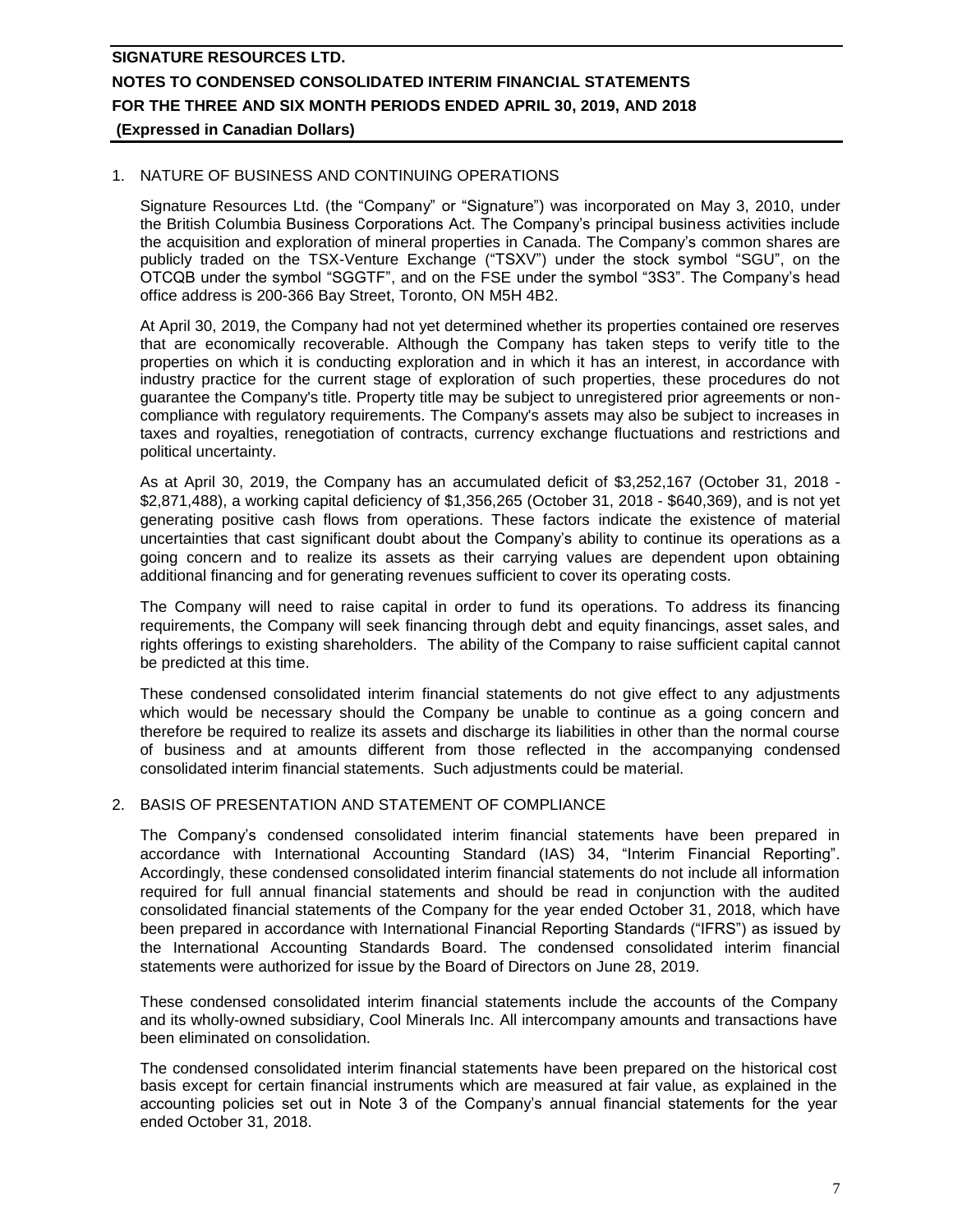### 1. NATURE OF BUSINESS AND CONTINUING OPERATIONS

Signature Resources Ltd. (the "Company" or "Signature") was incorporated on May 3, 2010, under the British Columbia Business Corporations Act. The Company's principal business activities include the acquisition and exploration of mineral properties in Canada. The Company's common shares are publicly traded on the TSX-Venture Exchange ("TSXV") under the stock symbol "SGU", on the OTCQB under the symbol "SGGTF", and on the FSE under the symbol "3S3". The Company's head office address is 200-366 Bay Street, Toronto, ON M5H 4B2.

At April 30, 2019, the Company had not yet determined whether its properties contained ore reserves that are economically recoverable. Although the Company has taken steps to verify title to the properties on which it is conducting exploration and in which it has an interest, in accordance with industry practice for the current stage of exploration of such properties, these procedures do not guarantee the Company's title. Property title may be subject to unregistered prior agreements or noncompliance with regulatory requirements. The Company's assets may also be subject to increases in taxes and royalties, renegotiation of contracts, currency exchange fluctuations and restrictions and political uncertainty.

As at April 30, 2019, the Company has an accumulated deficit of \$3,252,167 (October 31, 2018 - \$2,871,488), a working capital deficiency of \$1,356,265 (October 31, 2018 - \$640,369), and is not yet generating positive cash flows from operations. These factors indicate the existence of material uncertainties that cast significant doubt about the Company's ability to continue its operations as a going concern and to realize its assets as their carrying values are dependent upon obtaining additional financing and for generating revenues sufficient to cover its operating costs.

The Company will need to raise capital in order to fund its operations. To address its financing requirements, the Company will seek financing through debt and equity financings, asset sales, and rights offerings to existing shareholders. The ability of the Company to raise sufficient capital cannot be predicted at this time.

These condensed consolidated interim financial statements do not give effect to any adjustments which would be necessary should the Company be unable to continue as a going concern and therefore be required to realize its assets and discharge its liabilities in other than the normal course of business and at amounts different from those reflected in the accompanying condensed consolidated interim financial statements. Such adjustments could be material.

### 2. BASIS OF PRESENTATION AND STATEMENT OF COMPLIANCE

The Company's condensed consolidated interim financial statements have been prepared in accordance with International Accounting Standard (IAS) 34, "Interim Financial Reporting". Accordingly, these condensed consolidated interim financial statements do not include all information required for full annual financial statements and should be read in conjunction with the audited consolidated financial statements of the Company for the year ended October 31, 2018, which have been prepared in accordance with International Financial Reporting Standards ("IFRS") as issued by the International Accounting Standards Board. The condensed consolidated interim financial statements were authorized for issue by the Board of Directors on June 28, 2019.

These condensed consolidated interim financial statements include the accounts of the Company and its wholly-owned subsidiary, Cool Minerals Inc. All intercompany amounts and transactions have been eliminated on consolidation.

The condensed consolidated interim financial statements have been prepared on the historical cost basis except for certain financial instruments which are measured at fair value, as explained in the accounting policies set out in Note 3 of the Company's annual financial statements for the year ended October 31, 2018.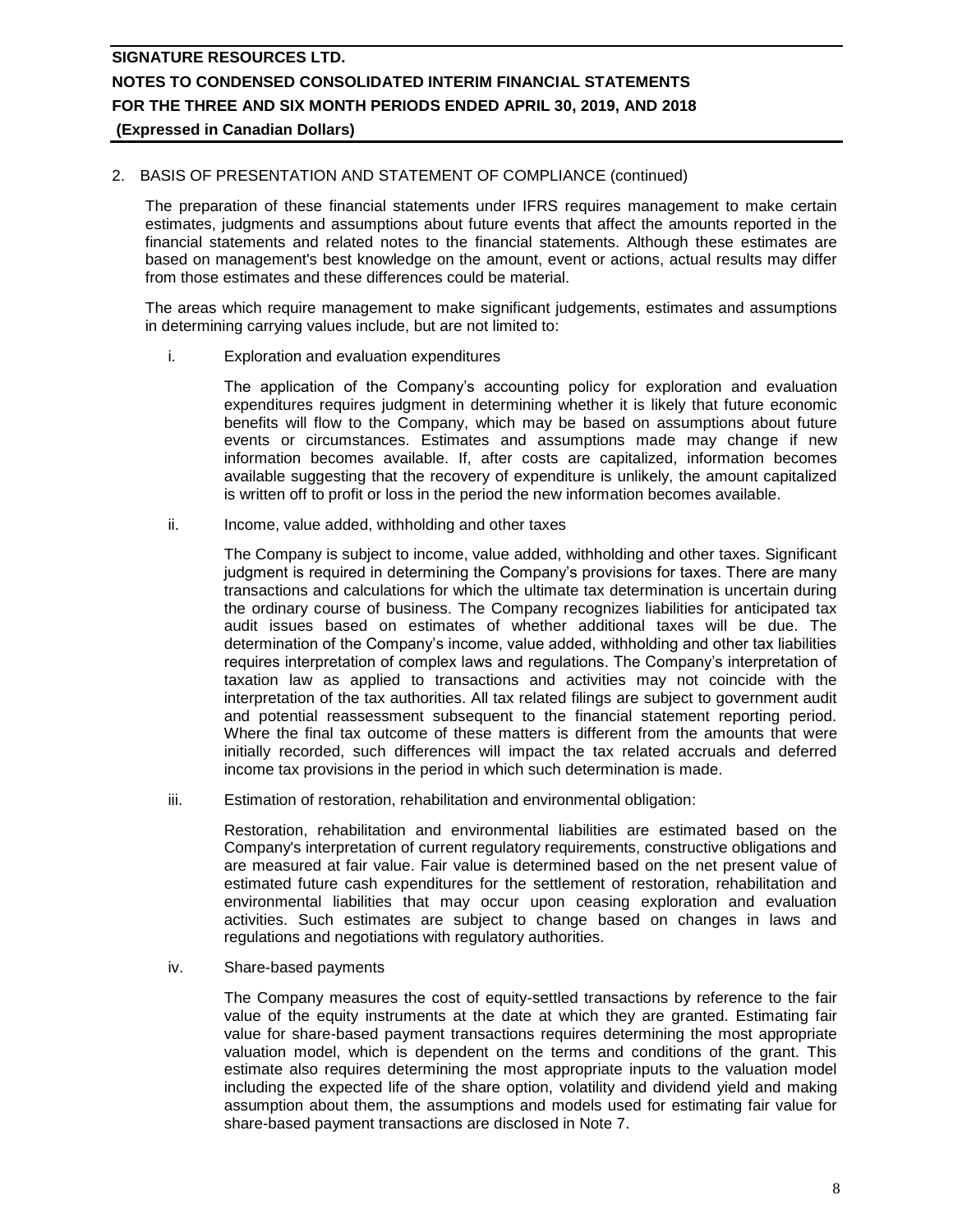### 2. BASIS OF PRESENTATION AND STATEMENT OF COMPLIANCE (continued)

The preparation of these financial statements under IFRS requires management to make certain estimates, judgments and assumptions about future events that affect the amounts reported in the financial statements and related notes to the financial statements. Although these estimates are based on management's best knowledge on the amount, event or actions, actual results may differ from those estimates and these differences could be material.

The areas which require management to make significant judgements, estimates and assumptions in determining carrying values include, but are not limited to:

i. Exploration and evaluation expenditures

The application of the Company's accounting policy for exploration and evaluation expenditures requires judgment in determining whether it is likely that future economic benefits will flow to the Company, which may be based on assumptions about future events or circumstances. Estimates and assumptions made may change if new information becomes available. If, after costs are capitalized, information becomes available suggesting that the recovery of expenditure is unlikely, the amount capitalized is written off to profit or loss in the period the new information becomes available.

ii. Income, value added, withholding and other taxes

The Company is subject to income, value added, withholding and other taxes. Significant judgment is required in determining the Company's provisions for taxes. There are many transactions and calculations for which the ultimate tax determination is uncertain during the ordinary course of business. The Company recognizes liabilities for anticipated tax audit issues based on estimates of whether additional taxes will be due. The determination of the Company's income, value added, withholding and other tax liabilities requires interpretation of complex laws and regulations. The Company's interpretation of taxation law as applied to transactions and activities may not coincide with the interpretation of the tax authorities. All tax related filings are subject to government audit and potential reassessment subsequent to the financial statement reporting period. Where the final tax outcome of these matters is different from the amounts that were initially recorded, such differences will impact the tax related accruals and deferred income tax provisions in the period in which such determination is made.

iii. Estimation of restoration, rehabilitation and environmental obligation:

Restoration, rehabilitation and environmental liabilities are estimated based on the Company's interpretation of current regulatory requirements, constructive obligations and are measured at fair value. Fair value is determined based on the net present value of estimated future cash expenditures for the settlement of restoration, rehabilitation and environmental liabilities that may occur upon ceasing exploration and evaluation activities. Such estimates are subject to change based on changes in laws and regulations and negotiations with regulatory authorities.

iv. Share-based payments

The Company measures the cost of equity-settled transactions by reference to the fair value of the equity instruments at the date at which they are granted. Estimating fair value for share-based payment transactions requires determining the most appropriate valuation model, which is dependent on the terms and conditions of the grant. This estimate also requires determining the most appropriate inputs to the valuation model including the expected life of the share option, volatility and dividend yield and making assumption about them, the assumptions and models used for estimating fair value for share-based payment transactions are disclosed in Note 7.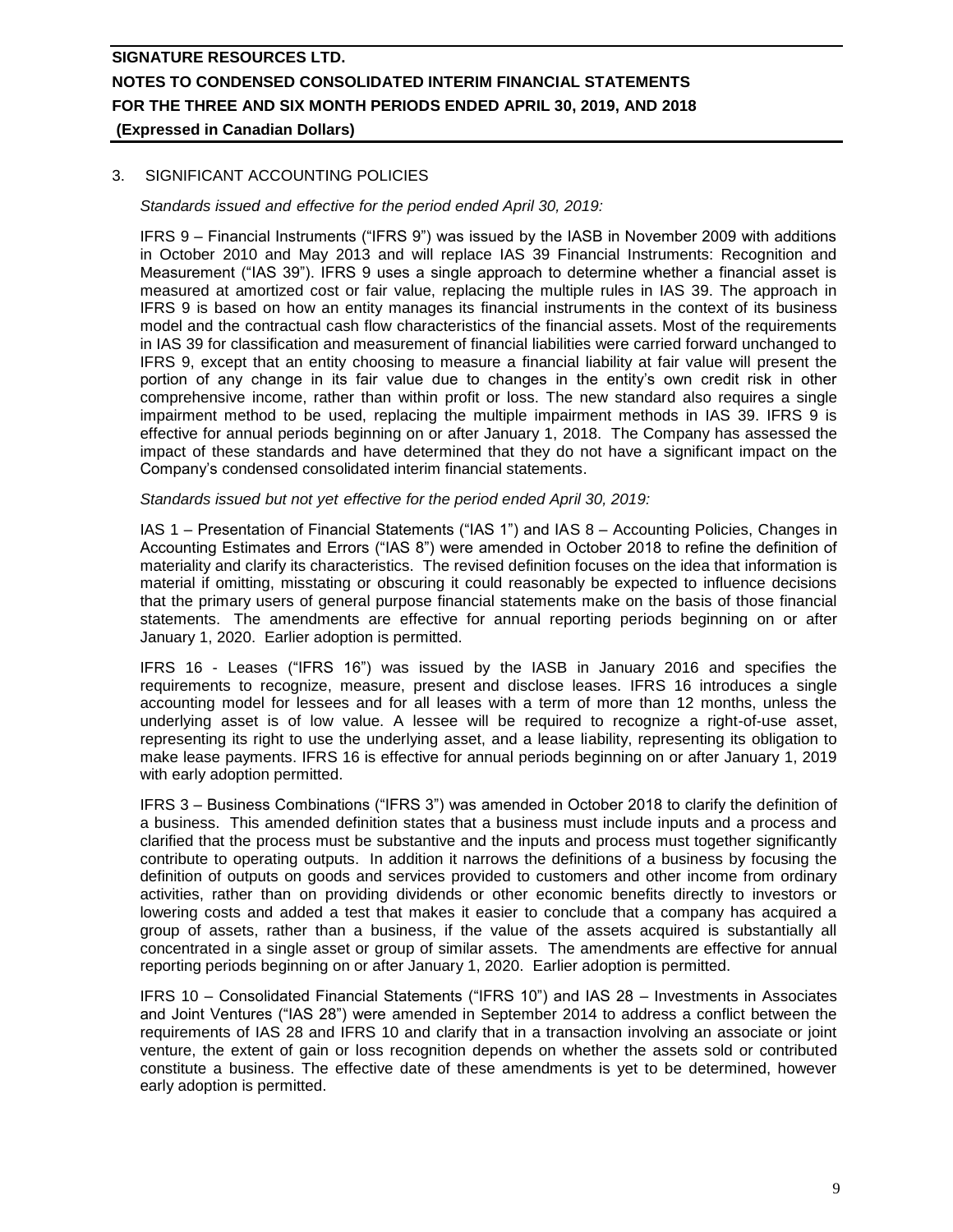## 3. SIGNIFICANT ACCOUNTING POLICIES

*Standards issued and effective for the period ended April 30, 2019:*

IFRS 9 – Financial Instruments ("IFRS 9") was issued by the IASB in November 2009 with additions in October 2010 and May 2013 and will replace IAS 39 Financial Instruments: Recognition and Measurement ("IAS 39"). IFRS 9 uses a single approach to determine whether a financial asset is measured at amortized cost or fair value, replacing the multiple rules in IAS 39. The approach in IFRS 9 is based on how an entity manages its financial instruments in the context of its business model and the contractual cash flow characteristics of the financial assets. Most of the requirements in IAS 39 for classification and measurement of financial liabilities were carried forward unchanged to IFRS 9, except that an entity choosing to measure a financial liability at fair value will present the portion of any change in its fair value due to changes in the entity's own credit risk in other comprehensive income, rather than within profit or loss. The new standard also requires a single impairment method to be used, replacing the multiple impairment methods in IAS 39. IFRS 9 is effective for annual periods beginning on or after January 1, 2018. The Company has assessed the impact of these standards and have determined that they do not have a significant impact on the Company's condensed consolidated interim financial statements.

#### *Standards issued but not yet effective for the period ended April 30, 2019:*

IAS 1 – Presentation of Financial Statements ("IAS 1") and IAS 8 – Accounting Policies, Changes in Accounting Estimates and Errors ("IAS 8") were amended in October 2018 to refine the definition of materiality and clarify its characteristics. The revised definition focuses on the idea that information is material if omitting, misstating or obscuring it could reasonably be expected to influence decisions that the primary users of general purpose financial statements make on the basis of those financial statements. The amendments are effective for annual reporting periods beginning on or after January 1, 2020. Earlier adoption is permitted.

IFRS 16 - Leases ("IFRS 16") was issued by the IASB in January 2016 and specifies the requirements to recognize, measure, present and disclose leases. IFRS 16 introduces a single accounting model for lessees and for all leases with a term of more than 12 months, unless the underlying asset is of low value. A lessee will be required to recognize a right-of-use asset, representing its right to use the underlying asset, and a lease liability, representing its obligation to make lease payments. IFRS 16 is effective for annual periods beginning on or after January 1, 2019 with early adoption permitted.

IFRS 3 – Business Combinations ("IFRS 3") was amended in October 2018 to clarify the definition of a business. This amended definition states that a business must include inputs and a process and clarified that the process must be substantive and the inputs and process must together significantly contribute to operating outputs. In addition it narrows the definitions of a business by focusing the definition of outputs on goods and services provided to customers and other income from ordinary activities, rather than on providing dividends or other economic benefits directly to investors or lowering costs and added a test that makes it easier to conclude that a company has acquired a group of assets, rather than a business, if the value of the assets acquired is substantially all concentrated in a single asset or group of similar assets. The amendments are effective for annual reporting periods beginning on or after January 1, 2020. Earlier adoption is permitted.

IFRS 10 – Consolidated Financial Statements ("IFRS 10") and IAS 28 – Investments in Associates and Joint Ventures ("IAS 28") were amended in September 2014 to address a conflict between the requirements of IAS 28 and IFRS 10 and clarify that in a transaction involving an associate or joint venture, the extent of gain or loss recognition depends on whether the assets sold or contributed constitute a business. The effective date of these amendments is yet to be determined, however early adoption is permitted.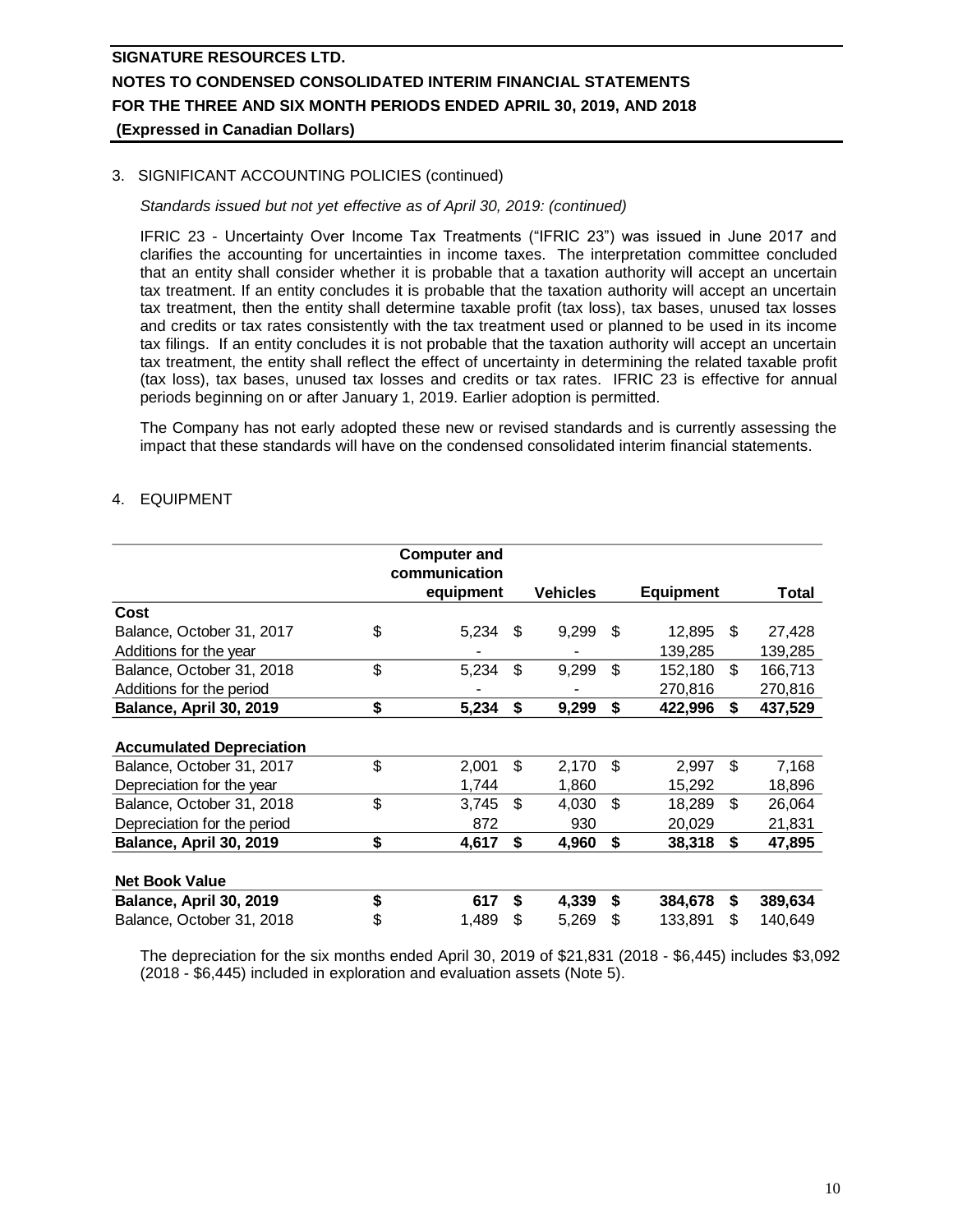## 3. SIGNIFICANT ACCOUNTING POLICIES (continued)

### *Standards issued but not yet effective as of April 30, 2019: (continued)*

IFRIC 23 - Uncertainty Over Income Tax Treatments ("IFRIC 23") was issued in June 2017 and clarifies the accounting for uncertainties in income taxes. The interpretation committee concluded that an entity shall consider whether it is probable that a taxation authority will accept an uncertain tax treatment. If an entity concludes it is probable that the taxation authority will accept an uncertain tax treatment, then the entity shall determine taxable profit (tax loss), tax bases, unused tax losses and credits or tax rates consistently with the tax treatment used or planned to be used in its income tax filings. If an entity concludes it is not probable that the taxation authority will accept an uncertain tax treatment, the entity shall reflect the effect of uncertainty in determining the related taxable profit (tax loss), tax bases, unused tax losses and credits or tax rates. IFRIC 23 is effective for annual periods beginning on or after January 1, 2019. Earlier adoption is permitted.

The Company has not early adopted these new or revised standards and is currently assessing the impact that these standards will have on the condensed consolidated interim financial statements.

## 4. EQUIPMENT

|                                 | <b>Computer and</b>        |    |                 |     |                  |     |         |
|---------------------------------|----------------------------|----|-----------------|-----|------------------|-----|---------|
|                                 | communication<br>equipment |    | <b>Vehicles</b> |     | <b>Equipment</b> |     | Total   |
| Cost                            |                            |    |                 |     |                  |     |         |
| Balance, October 31, 2017       | \$<br>5,234                | \$ | 9,299           | \$. | 12,895           | \$. | 27,428  |
| Additions for the year          |                            |    |                 |     | 139,285          |     | 139,285 |
| Balance, October 31, 2018       | \$<br>5,234                | \$ | 9,299           | \$  | 152,180          | \$  | 166,713 |
| Additions for the period        |                            |    |                 |     | 270,816          |     | 270,816 |
| Balance, April 30, 2019         | \$<br>5,234                | \$ | 9,299           | \$  | 422,996          | \$  | 437,529 |
| <b>Accumulated Depreciation</b> |                            |    |                 |     |                  |     |         |
| Balance, October 31, 2017       | \$<br>2,001                | \$ | 2,170           | \$  | 2,997            | \$  | 7,168   |
| Depreciation for the year       | 1,744                      |    | 1,860           |     | 15,292           |     | 18,896  |
| Balance, October 31, 2018       | \$<br>3,745                | \$ | 4,030           | \$  | 18,289           | \$  | 26,064  |
| Depreciation for the period     | 872                        |    | 930             |     | 20,029           |     | 21,831  |
| Balance, April 30, 2019         | \$<br>4,617                | S  | 4,960           | \$  | 38,318           | \$  | 47,895  |
| <b>Net Book Value</b>           |                            |    |                 |     |                  |     |         |
| Balance, April 30, 2019         | \$<br>617                  | \$ | 4,339           | \$  | 384,678          | \$  | 389,634 |
| Balance, October 31, 2018       | \$<br>1,489                | \$ | 5,269           | \$  | 133,891          | \$  | 140,649 |

The depreciation for the six months ended April 30, 2019 of \$21,831 (2018 - \$6,445) includes \$3,092 (2018 - \$6,445) included in exploration and evaluation assets (Note 5).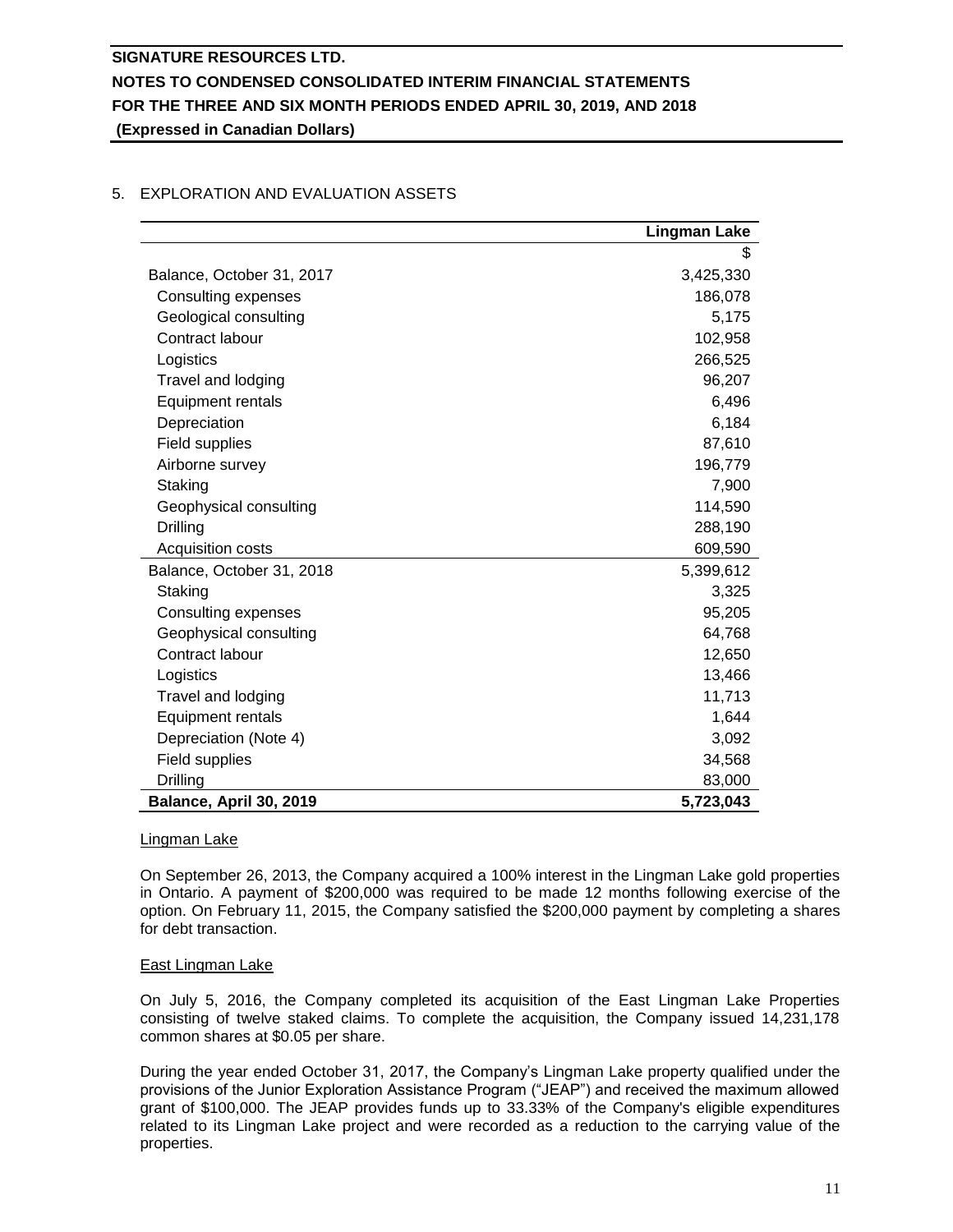|                            | <b>Lingman Lake</b> |
|----------------------------|---------------------|
|                            | \$                  |
| Balance, October 31, 2017  | 3,425,330           |
| <b>Consulting expenses</b> | 186,078             |
| Geological consulting      | 5,175               |
| Contract labour            | 102,958             |
| Logistics                  | 266,525             |
| Travel and lodging         | 96,207              |
| Equipment rentals          | 6,496               |
| Depreciation               | 6,184               |
| Field supplies             | 87,610              |
| Airborne survey            | 196,779             |
| Staking                    | 7,900               |
| Geophysical consulting     | 114,590             |
| Drilling                   | 288,190             |
| Acquisition costs          | 609,590             |
| Balance, October 31, 2018  | 5,399,612           |
| Staking                    | 3,325               |
| Consulting expenses        | 95,205              |
| Geophysical consulting     | 64,768              |
| Contract labour            | 12,650              |
| Logistics                  | 13,466              |
| Travel and lodging         | 11,713              |
| <b>Equipment rentals</b>   | 1,644               |
| Depreciation (Note 4)      | 3,092               |
| Field supplies             | 34,568              |
| Drilling                   | 83,000              |
| Balance, April 30, 2019    | 5,723,043           |

## 5. EXPLORATION AND EVALUATION ASSETS

#### Lingman Lake

On September 26, 2013, the Company acquired a 100% interest in the Lingman Lake gold properties in Ontario. A payment of \$200,000 was required to be made 12 months following exercise of the option. On February 11, 2015, the Company satisfied the \$200,000 payment by completing a shares for debt transaction.

#### East Lingman Lake

On July 5, 2016, the Company completed its acquisition of the East Lingman Lake Properties consisting of twelve staked claims. To complete the acquisition, the Company issued 14,231,178 common shares at \$0.05 per share.

During the year ended October 31, 2017, the Company's Lingman Lake property qualified under the provisions of the Junior Exploration Assistance Program ("JEAP") and received the maximum allowed grant of \$100,000. The JEAP provides funds up to 33.33% of the Company's eligible expenditures related to its Lingman Lake project and were recorded as a reduction to the carrying value of the properties.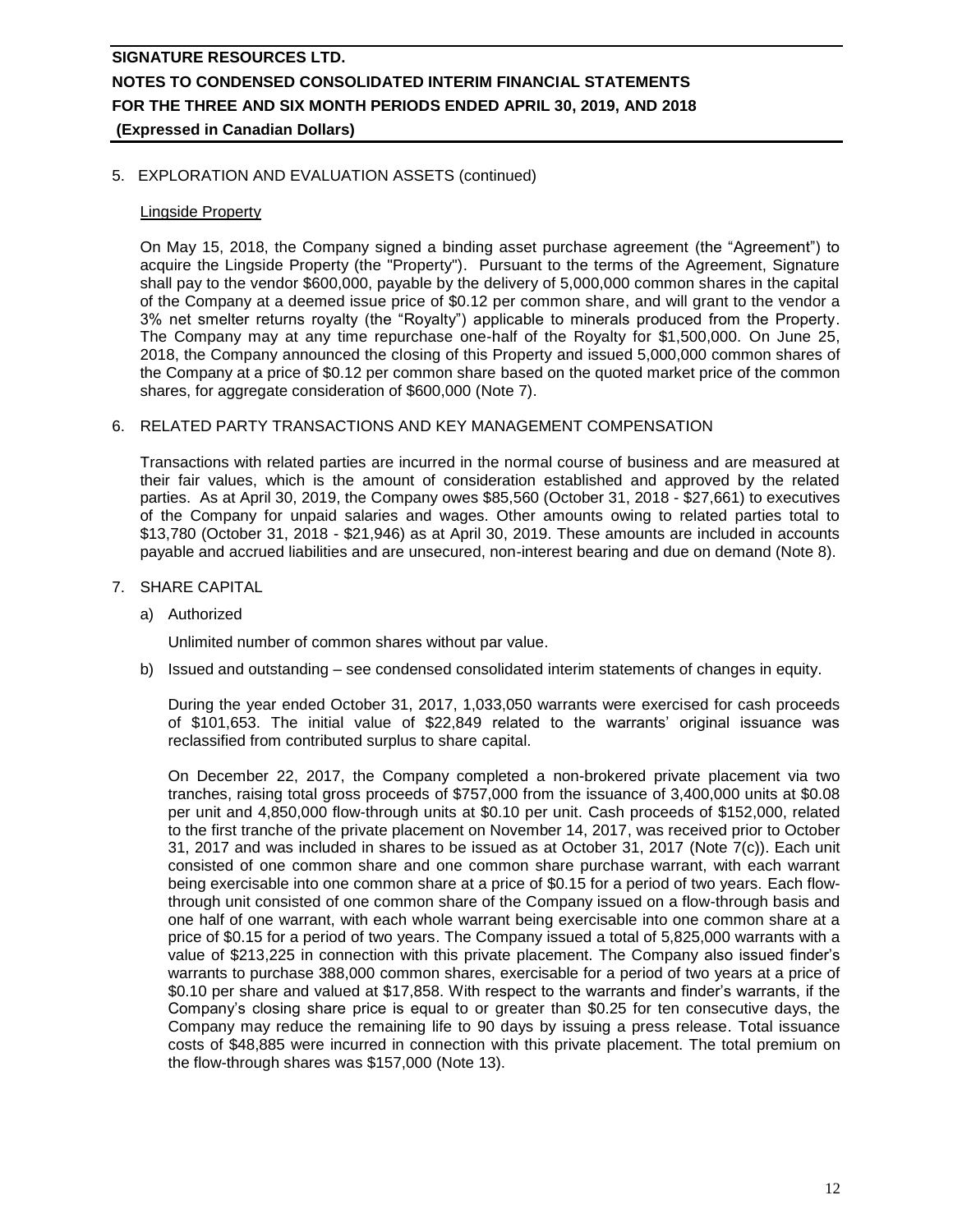### 5. EXPLORATION AND EVALUATION ASSETS (continued)

### Lingside Property

On May 15, 2018, the Company signed a binding asset purchase agreement (the "Agreement") to acquire the Lingside Property (the "Property"). Pursuant to the terms of the Agreement, Signature shall pay to the vendor \$600,000, payable by the delivery of 5,000,000 common shares in the capital of the Company at a deemed issue price of \$0.12 per common share, and will grant to the vendor a 3% net smelter returns royalty (the "Royalty") applicable to minerals produced from the Property. The Company may at any time repurchase one-half of the Royalty for \$1,500,000. On June 25, 2018, the Company announced the closing of this Property and issued 5,000,000 common shares of the Company at a price of \$0.12 per common share based on the quoted market price of the common shares, for aggregate consideration of \$600,000 (Note 7).

### 6. RELATED PARTY TRANSACTIONS AND KEY MANAGEMENT COMPENSATION

Transactions with related parties are incurred in the normal course of business and are measured at their fair values, which is the amount of consideration established and approved by the related parties. As at April 30, 2019, the Company owes \$85,560 (October 31, 2018 - \$27,661) to executives of the Company for unpaid salaries and wages. Other amounts owing to related parties total to \$13,780 (October 31, 2018 - \$21,946) as at April 30, 2019. These amounts are included in accounts payable and accrued liabilities and are unsecured, non-interest bearing and due on demand (Note 8).

### 7. SHARE CAPITAL

a) Authorized

Unlimited number of common shares without par value.

b) Issued and outstanding – see condensed consolidated interim statements of changes in equity.

During the year ended October 31, 2017, 1,033,050 warrants were exercised for cash proceeds of \$101,653. The initial value of \$22,849 related to the warrants' original issuance was reclassified from contributed surplus to share capital.

On December 22, 2017, the Company completed a non-brokered private placement via two tranches, raising total gross proceeds of \$757,000 from the issuance of 3,400,000 units at \$0.08 per unit and 4,850,000 flow-through units at \$0.10 per unit. Cash proceeds of \$152,000, related to the first tranche of the private placement on November 14, 2017, was received prior to October 31, 2017 and was included in shares to be issued as at October 31, 2017 (Note 7(c)). Each unit consisted of one common share and one common share purchase warrant, with each warrant being exercisable into one common share at a price of \$0.15 for a period of two years. Each flowthrough unit consisted of one common share of the Company issued on a flow-through basis and one half of one warrant, with each whole warrant being exercisable into one common share at a price of \$0.15 for a period of two years. The Company issued a total of 5,825,000 warrants with a value of \$213,225 in connection with this private placement. The Company also issued finder's warrants to purchase 388,000 common shares, exercisable for a period of two years at a price of \$0.10 per share and valued at \$17,858. With respect to the warrants and finder's warrants, if the Company's closing share price is equal to or greater than \$0.25 for ten consecutive days, the Company may reduce the remaining life to 90 days by issuing a press release. Total issuance costs of \$48,885 were incurred in connection with this private placement. The total premium on the flow-through shares was \$157,000 (Note 13).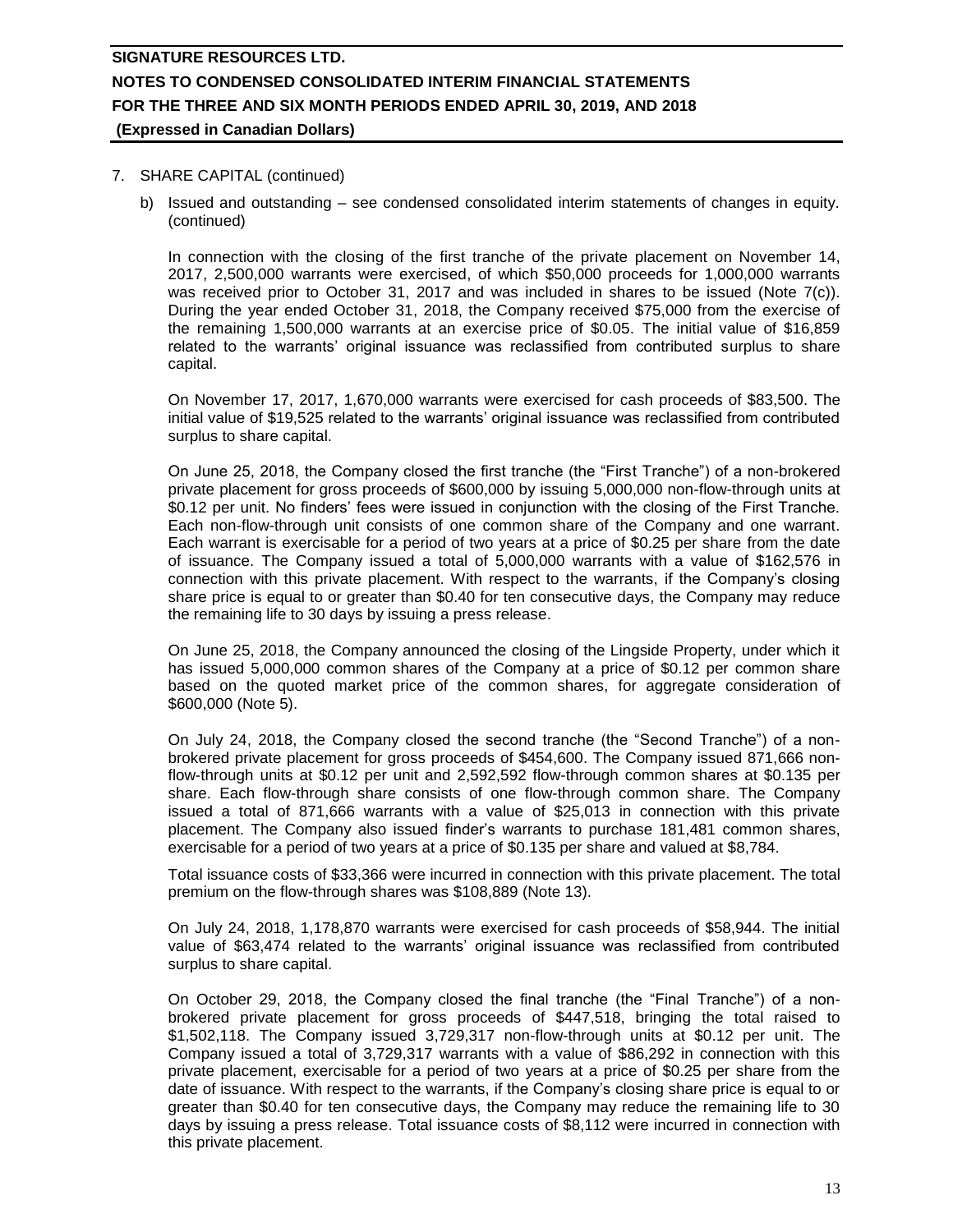#### 7. SHARE CAPITAL (continued)

b) Issued and outstanding – see condensed consolidated interim statements of changes in equity. (continued)

In connection with the closing of the first tranche of the private placement on November 14, 2017, 2,500,000 warrants were exercised, of which \$50,000 proceeds for 1,000,000 warrants was received prior to October 31, 2017 and was included in shares to be issued (Note 7(c)). During the year ended October 31, 2018, the Company received \$75,000 from the exercise of the remaining 1,500,000 warrants at an exercise price of \$0.05. The initial value of \$16,859 related to the warrants' original issuance was reclassified from contributed surplus to share capital.

On November 17, 2017, 1,670,000 warrants were exercised for cash proceeds of \$83,500. The initial value of \$19,525 related to the warrants' original issuance was reclassified from contributed surplus to share capital.

On June 25, 2018, the Company closed the first tranche (the "First Tranche") of a non-brokered private placement for gross proceeds of \$600,000 by issuing 5,000,000 non-flow-through units at \$0.12 per unit. No finders' fees were issued in conjunction with the closing of the First Tranche. Each non-flow-through unit consists of one common share of the Company and one warrant. Each warrant is exercisable for a period of two years at a price of \$0.25 per share from the date of issuance. The Company issued a total of 5,000,000 warrants with a value of \$162,576 in connection with this private placement. With respect to the warrants, if the Company's closing share price is equal to or greater than \$0.40 for ten consecutive days, the Company may reduce the remaining life to 30 days by issuing a press release.

On June 25, 2018, the Company announced the closing of the Lingside Property, under which it has issued 5,000,000 common shares of the Company at a price of \$0.12 per common share based on the quoted market price of the common shares, for aggregate consideration of \$600,000 (Note 5).

On July 24, 2018, the Company closed the second tranche (the "Second Tranche") of a nonbrokered private placement for gross proceeds of \$454,600. The Company issued 871,666 nonflow-through units at \$0.12 per unit and 2,592,592 flow-through common shares at \$0.135 per share. Each flow-through share consists of one flow-through common share. The Company issued a total of 871,666 warrants with a value of \$25,013 in connection with this private placement. The Company also issued finder's warrants to purchase 181,481 common shares, exercisable for a period of two years at a price of \$0.135 per share and valued at \$8,784.

Total issuance costs of \$33,366 were incurred in connection with this private placement. The total premium on the flow-through shares was \$108,889 (Note 13).

On July 24, 2018, 1,178,870 warrants were exercised for cash proceeds of \$58,944. The initial value of \$63,474 related to the warrants' original issuance was reclassified from contributed surplus to share capital.

On October 29, 2018, the Company closed the final tranche (the "Final Tranche") of a nonbrokered private placement for gross proceeds of \$447,518, bringing the total raised to \$1,502,118. The Company issued 3,729,317 non-flow-through units at \$0.12 per unit. The Company issued a total of 3,729,317 warrants with a value of \$86,292 in connection with this private placement, exercisable for a period of two years at a price of \$0.25 per share from the date of issuance. With respect to the warrants, if the Company's closing share price is equal to or greater than \$0.40 for ten consecutive days, the Company may reduce the remaining life to 30 days by issuing a press release. Total issuance costs of \$8,112 were incurred in connection with this private placement.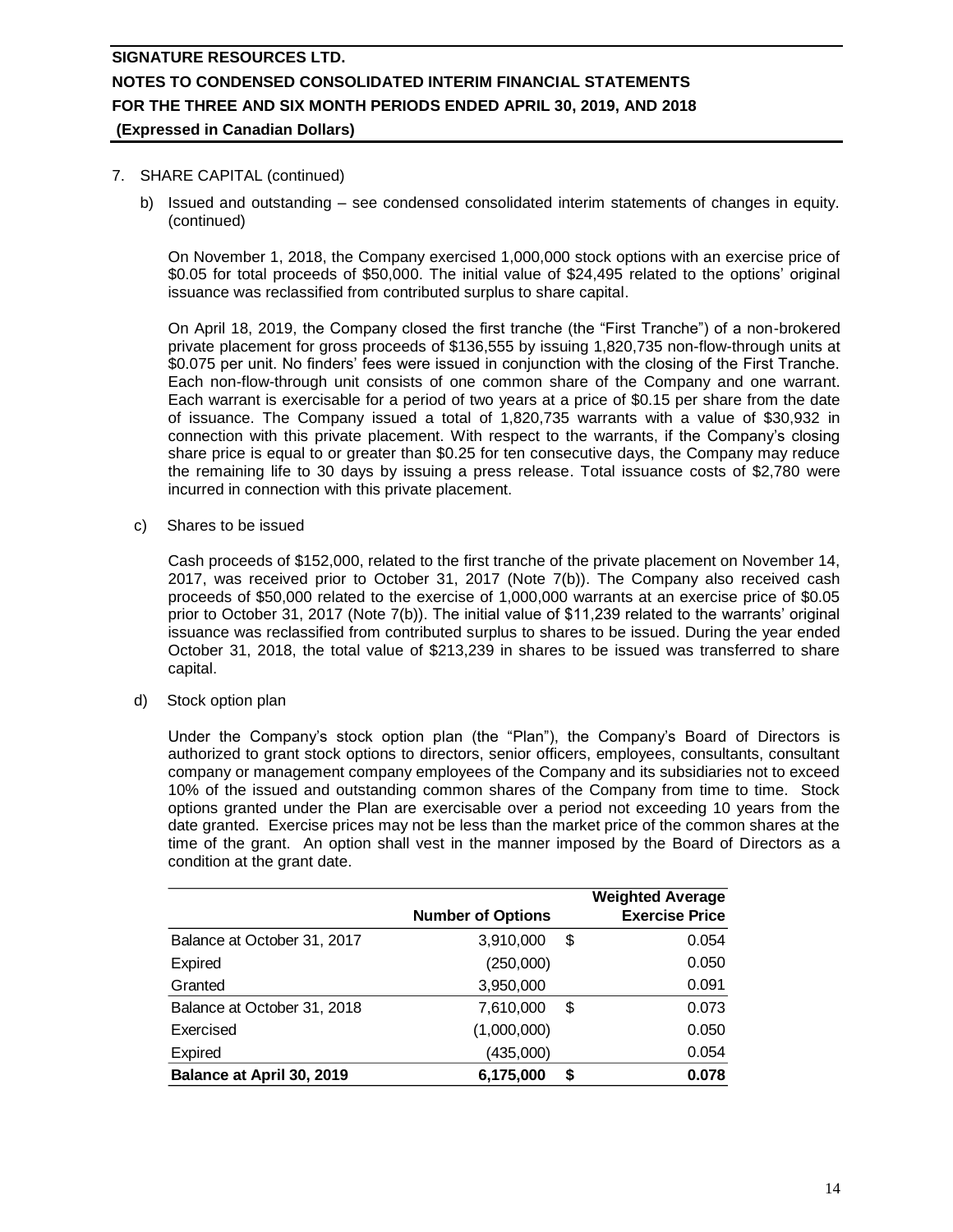#### 7. SHARE CAPITAL (continued)

b) Issued and outstanding – see condensed consolidated interim statements of changes in equity. (continued)

On November 1, 2018, the Company exercised 1,000,000 stock options with an exercise price of \$0.05 for total proceeds of \$50,000. The initial value of \$24,495 related to the options' original issuance was reclassified from contributed surplus to share capital.

On April 18, 2019, the Company closed the first tranche (the "First Tranche") of a non-brokered private placement for gross proceeds of \$136,555 by issuing 1,820,735 non-flow-through units at \$0.075 per unit. No finders' fees were issued in conjunction with the closing of the First Tranche. Each non-flow-through unit consists of one common share of the Company and one warrant. Each warrant is exercisable for a period of two years at a price of \$0.15 per share from the date of issuance. The Company issued a total of 1,820,735 warrants with a value of \$30,932 in connection with this private placement. With respect to the warrants, if the Company's closing share price is equal to or greater than \$0.25 for ten consecutive days, the Company may reduce the remaining life to 30 days by issuing a press release. Total issuance costs of \$2,780 were incurred in connection with this private placement.

c) Shares to be issued

Cash proceeds of \$152,000, related to the first tranche of the private placement on November 14, 2017, was received prior to October 31, 2017 (Note 7(b)). The Company also received cash proceeds of \$50,000 related to the exercise of 1,000,000 warrants at an exercise price of \$0.05 prior to October 31, 2017 (Note 7(b)). The initial value of \$11,239 related to the warrants' original issuance was reclassified from contributed surplus to shares to be issued. During the year ended October 31, 2018, the total value of \$213,239 in shares to be issued was transferred to share capital.

d) Stock option plan

Under the Company's stock option plan (the "Plan"), the Company's Board of Directors is authorized to grant stock options to directors, senior officers, employees, consultants, consultant company or management company employees of the Company and its subsidiaries not to exceed 10% of the issued and outstanding common shares of the Company from time to time. Stock options granted under the Plan are exercisable over a period not exceeding 10 years from the date granted. Exercise prices may not be less than the market price of the common shares at the time of the grant. An option shall vest in the manner imposed by the Board of Directors as a condition at the grant date.

|                             |                          | <b>Weighted Average</b> |
|-----------------------------|--------------------------|-------------------------|
|                             | <b>Number of Options</b> | <b>Exercise Price</b>   |
| Balance at October 31, 2017 | 3,910,000                | 0.054<br>\$             |
| Expired                     | (250,000)                | 0.050                   |
| Granted                     | 3,950,000                | 0.091                   |
| Balance at October 31, 2018 | 7,610,000                | 0.073<br>\$             |
| Exercised                   | (1,000,000)              | 0.050                   |
| <b>Expired</b>              | (435,000)                | 0.054                   |
| Balance at April 30, 2019   | 6,175,000                | 0.078<br>S              |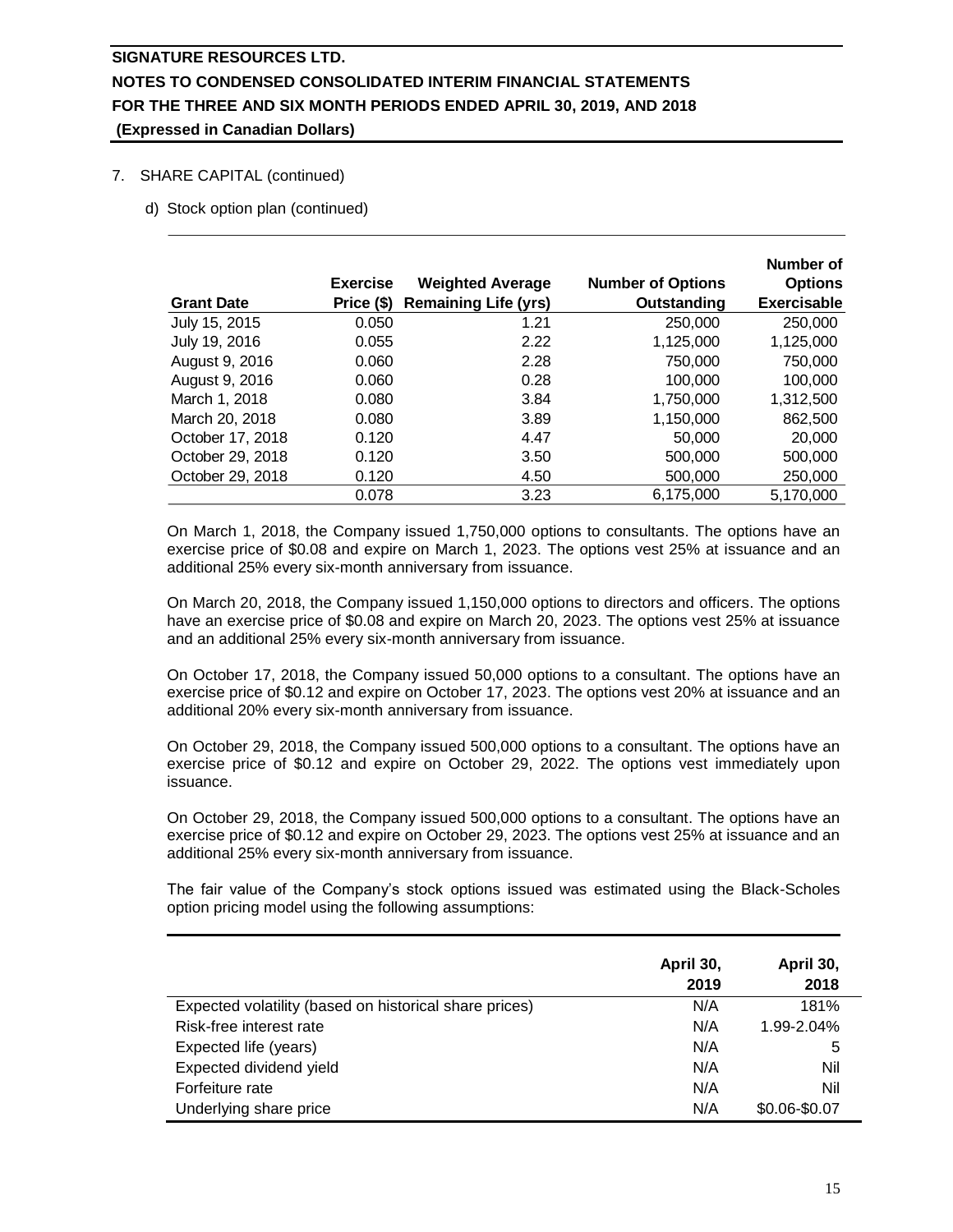### 7. SHARE CAPITAL (continued)

d) Stock option plan (continued)

|                   | <b>Exercise</b> | <b>Weighted Average</b>     | <b>Number of Options</b> | Number of<br><b>Options</b> |
|-------------------|-----------------|-----------------------------|--------------------------|-----------------------------|
| <b>Grant Date</b> | Price (\$)      | <b>Remaining Life (yrs)</b> | Outstanding              | <b>Exercisable</b>          |
| July 15, 2015     | 0.050           | 1.21                        | 250,000                  | 250,000                     |
| July 19, 2016     | 0.055           | 2.22                        | 1,125,000                | 1,125,000                   |
| August 9, 2016    | 0.060           | 2.28                        | 750,000                  | 750,000                     |
| August 9, 2016    | 0.060           | 0.28                        | 100,000                  | 100,000                     |
| March 1, 2018     | 0.080           | 3.84                        | 1,750,000                | 1,312,500                   |
| March 20, 2018    | 0.080           | 3.89                        | 1,150,000                | 862,500                     |
| October 17, 2018  | 0.120           | 4.47                        | 50,000                   | 20,000                      |
| October 29, 2018  | 0.120           | 3.50                        | 500,000                  | 500,000                     |
| October 29, 2018  | 0.120           | 4.50                        | 500,000                  | 250,000                     |
|                   | 0.078           | 3.23                        | 6,175,000                | 5,170,000                   |

On March 1, 2018, the Company issued 1,750,000 options to consultants. The options have an exercise price of \$0.08 and expire on March 1, 2023. The options vest 25% at issuance and an additional 25% every six-month anniversary from issuance.

On March 20, 2018, the Company issued 1,150,000 options to directors and officers. The options have an exercise price of \$0.08 and expire on March 20, 2023. The options vest 25% at issuance and an additional 25% every six-month anniversary from issuance.

On October 17, 2018, the Company issued 50,000 options to a consultant. The options have an exercise price of \$0.12 and expire on October 17, 2023. The options vest 20% at issuance and an additional 20% every six-month anniversary from issuance.

On October 29, 2018, the Company issued 500,000 options to a consultant. The options have an exercise price of \$0.12 and expire on October 29, 2022. The options vest immediately upon issuance.

On October 29, 2018, the Company issued 500,000 options to a consultant. The options have an exercise price of \$0.12 and expire on October 29, 2023. The options vest 25% at issuance and an additional 25% every six-month anniversary from issuance.

The fair value of the Company's stock options issued was estimated using the Black-Scholes option pricing model using the following assumptions:

|                                                        | April 30,<br>2019 | April 30,<br>2018 |
|--------------------------------------------------------|-------------------|-------------------|
| Expected volatility (based on historical share prices) | N/A               | 181%              |
| Risk-free interest rate                                | N/A               | 1.99-2.04%        |
| Expected life (years)                                  | N/A               | 5                 |
| Expected dividend yield                                | N/A               | Nil               |
| Forfeiture rate                                        | N/A               | Nil               |
| Underlying share price                                 | N/A               | \$0.06-\$0.07     |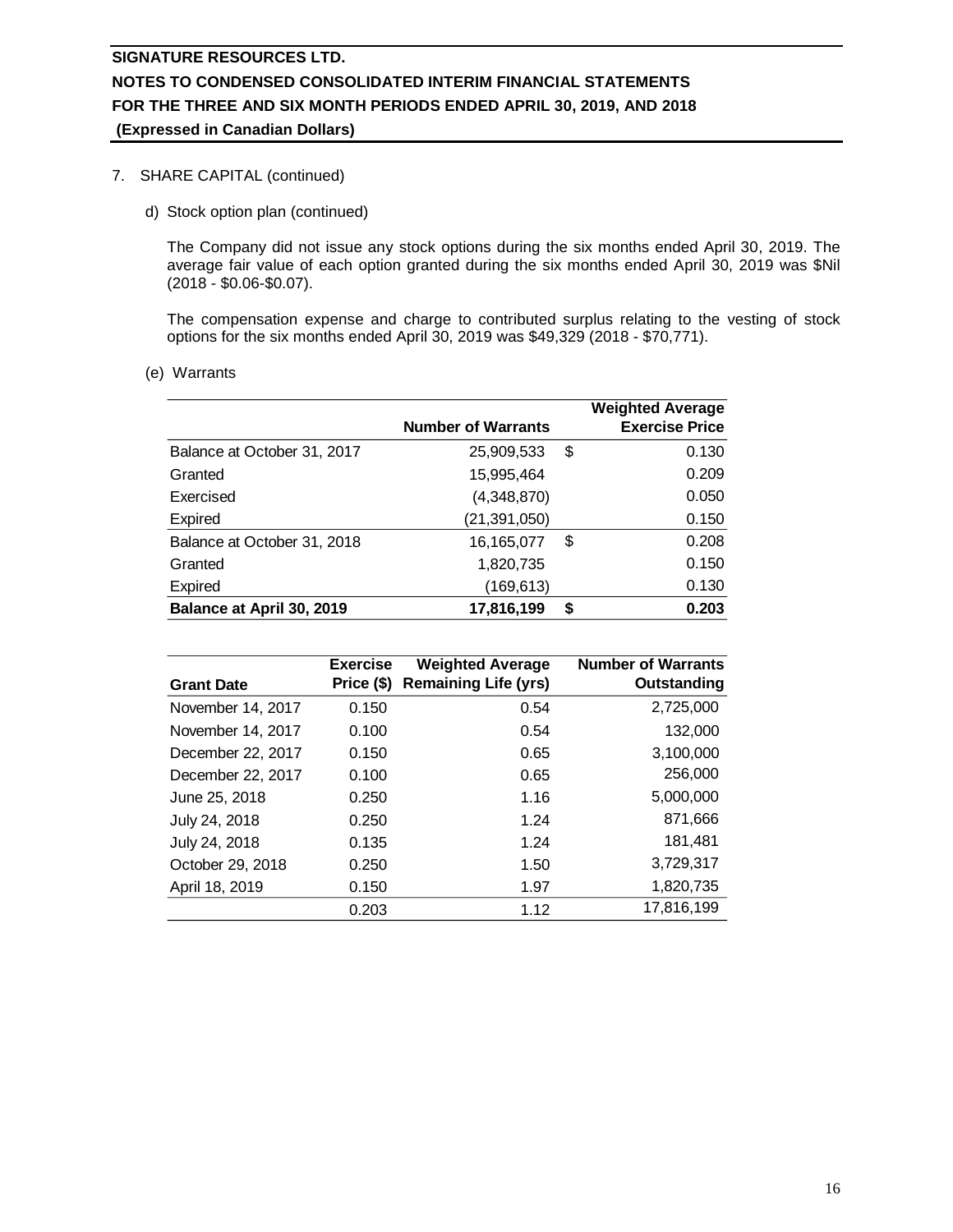### 7. SHARE CAPITAL (continued)

d) Stock option plan (continued)

The Company did not issue any stock options during the six months ended April 30, 2019. The average fair value of each option granted during the six months ended April 30, 2019 was \$Nil (2018 - \$0.06-\$0.07).

The compensation expense and charge to contributed surplus relating to the vesting of stock options for the six months ended April 30, 2019 was \$49,329 (2018 - \$70,771).

(e) Warrants

|                             |                           |    | <b>Weighted Average</b> |
|-----------------------------|---------------------------|----|-------------------------|
|                             | <b>Number of Warrants</b> |    | <b>Exercise Price</b>   |
| Balance at October 31, 2017 | 25,909,533                | \$ | 0.130                   |
| Granted                     | 15,995,464                |    | 0.209                   |
| Exercised                   | (4,348,870)               |    | 0.050                   |
| Expired                     | (21,391,050)              |    | 0.150                   |
| Balance at October 31, 2018 | 16,165,077                | \$ | 0.208                   |
| Granted                     | 1,820,735                 |    | 0.150                   |
| Expired                     | (169,613)                 |    | 0.130                   |
| Balance at April 30, 2019   | 17,816,199                | S  | 0.203                   |

| <b>Grant Date</b> | <b>Exercise</b><br>Price (\$) | <b>Weighted Average</b><br><b>Remaining Life (yrs)</b> | <b>Number of Warrants</b><br>Outstanding |
|-------------------|-------------------------------|--------------------------------------------------------|------------------------------------------|
| November 14, 2017 | 0.150                         | 0.54                                                   | 2,725,000                                |
| November 14, 2017 | 0.100                         | 0.54                                                   | 132,000                                  |
| December 22, 2017 | 0.150                         | 0.65                                                   | 3,100,000                                |
| December 22, 2017 | 0.100                         | 0.65                                                   | 256,000                                  |
| June 25, 2018     | 0.250                         | 1.16                                                   | 5,000,000                                |
| July 24, 2018     | 0.250                         | 1.24                                                   | 871,666                                  |
| July 24, 2018     | 0.135                         | 1.24                                                   | 181,481                                  |
| October 29, 2018  | 0.250                         | 1.50                                                   | 3,729,317                                |
| April 18, 2019    | 0.150                         | 1.97                                                   | 1,820,735                                |
|                   | 0.203                         | 1.12                                                   | 17,816,199                               |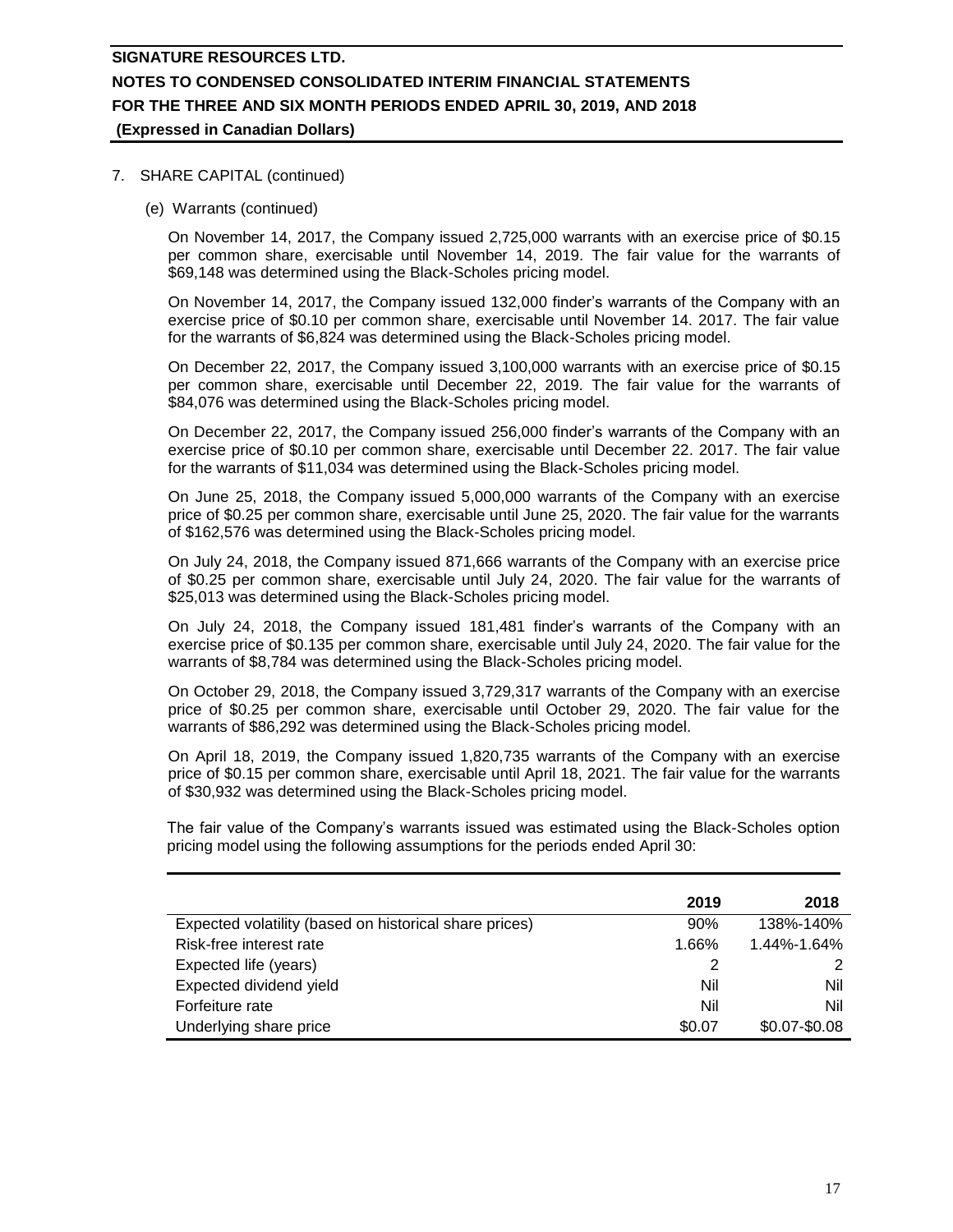### 7. SHARE CAPITAL (continued)

(e) Warrants (continued)

On November 14, 2017, the Company issued 2,725,000 warrants with an exercise price of \$0.15 per common share, exercisable until November 14, 2019. The fair value for the warrants of \$69,148 was determined using the Black-Scholes pricing model.

On November 14, 2017, the Company issued 132,000 finder's warrants of the Company with an exercise price of \$0.10 per common share, exercisable until November 14. 2017. The fair value for the warrants of \$6,824 was determined using the Black-Scholes pricing model.

On December 22, 2017, the Company issued 3,100,000 warrants with an exercise price of \$0.15 per common share, exercisable until December 22, 2019. The fair value for the warrants of \$84,076 was determined using the Black-Scholes pricing model.

On December 22, 2017, the Company issued 256,000 finder's warrants of the Company with an exercise price of \$0.10 per common share, exercisable until December 22. 2017. The fair value for the warrants of \$11,034 was determined using the Black-Scholes pricing model.

On June 25, 2018, the Company issued 5,000,000 warrants of the Company with an exercise price of \$0.25 per common share, exercisable until June 25, 2020. The fair value for the warrants of \$162,576 was determined using the Black-Scholes pricing model.

On July 24, 2018, the Company issued 871,666 warrants of the Company with an exercise price of \$0.25 per common share, exercisable until July 24, 2020. The fair value for the warrants of \$25,013 was determined using the Black-Scholes pricing model.

On July 24, 2018, the Company issued 181,481 finder's warrants of the Company with an exercise price of \$0.135 per common share, exercisable until July 24, 2020. The fair value for the warrants of \$8,784 was determined using the Black-Scholes pricing model.

On October 29, 2018, the Company issued 3,729,317 warrants of the Company with an exercise price of \$0.25 per common share, exercisable until October 29, 2020. The fair value for the warrants of \$86,292 was determined using the Black-Scholes pricing model.

On April 18, 2019, the Company issued 1,820,735 warrants of the Company with an exercise price of \$0.15 per common share, exercisable until April 18, 2021. The fair value for the warrants of \$30,932 was determined using the Black-Scholes pricing model.

The fair value of the Company's warrants issued was estimated using the Black-Scholes option pricing model using the following assumptions for the periods ended April 30:

|                                                        | 2019   | 2018            |
|--------------------------------------------------------|--------|-----------------|
| Expected volatility (based on historical share prices) | 90%    | 138%-140%       |
| Risk-free interest rate                                | 1.66%  | 1.44%-1.64%     |
| Expected life (years)                                  |        | 2               |
| Expected dividend yield                                | Nil    | Nil             |
| Forfeiture rate                                        | Nil    | Nil             |
| Underlying share price                                 | \$0.07 | $$0.07 - $0.08$ |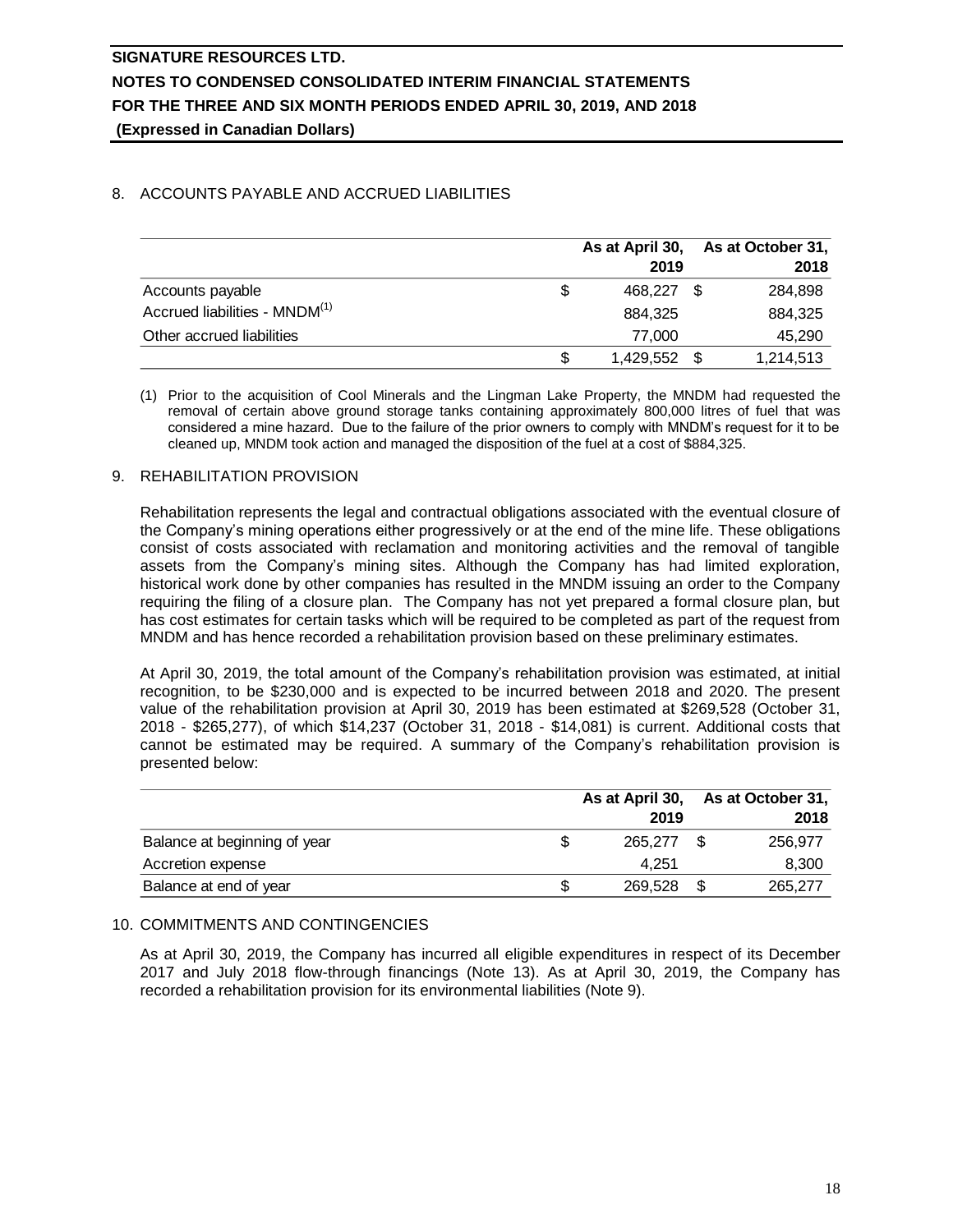## 8. ACCOUNTS PAYABLE AND ACCRUED LIABILITIES

|                                           |    | As at April 30,<br>2019 | As at October 31,<br>2018 |
|-------------------------------------------|----|-------------------------|---------------------------|
| Accounts payable                          | S  | 468.227                 | 284,898                   |
| Accrued liabilities - MNDM <sup>(1)</sup> |    | 884,325                 | 884,325                   |
| Other accrued liabilities                 |    | 77,000                  | 45,290                    |
|                                           | \$ | 1,429,552 \$            | 1,214,513                 |

(1) Prior to the acquisition of Cool Minerals and the Lingman Lake Property, the MNDM had requested the removal of certain above ground storage tanks containing approximately 800,000 litres of fuel that was considered a mine hazard. Due to the failure of the prior owners to comply with MNDM's request for it to be cleaned up, MNDM took action and managed the disposition of the fuel at a cost of \$884,325.

### 9. REHABILITATION PROVISION

Rehabilitation represents the legal and contractual obligations associated with the eventual closure of the Company's mining operations either progressively or at the end of the mine life. These obligations consist of costs associated with reclamation and monitoring activities and the removal of tangible assets from the Company's mining sites. Although the Company has had limited exploration, historical work done by other companies has resulted in the MNDM issuing an order to the Company requiring the filing of a closure plan. The Company has not yet prepared a formal closure plan, but has cost estimates for certain tasks which will be required to be completed as part of the request from MNDM and has hence recorded a rehabilitation provision based on these preliminary estimates.

At April 30, 2019, the total amount of the Company's rehabilitation provision was estimated, at initial recognition, to be \$230,000 and is expected to be incurred between 2018 and 2020. The present value of the rehabilitation provision at April 30, 2019 has been estimated at \$269,528 (October 31, 2018 - \$265,277), of which \$14,237 (October 31, 2018 - \$14,081) is current. Additional costs that cannot be estimated may be required. A summary of the Company's rehabilitation provision is presented below:

|                              | As at April 30, |  | As at October 31, |  |
|------------------------------|-----------------|--|-------------------|--|
|                              | 2019            |  | 2018              |  |
| Balance at beginning of year | 265,277         |  | 256.977           |  |
| Accretion expense            | 4.251           |  | 8,300             |  |
| Balance at end of year       | 269,528         |  | 265,277           |  |

### 10. COMMITMENTS AND CONTINGENCIES

As at April 30, 2019, the Company has incurred all eligible expenditures in respect of its December 2017 and July 2018 flow-through financings (Note 13). As at April 30, 2019, the Company has recorded a rehabilitation provision for its environmental liabilities (Note 9).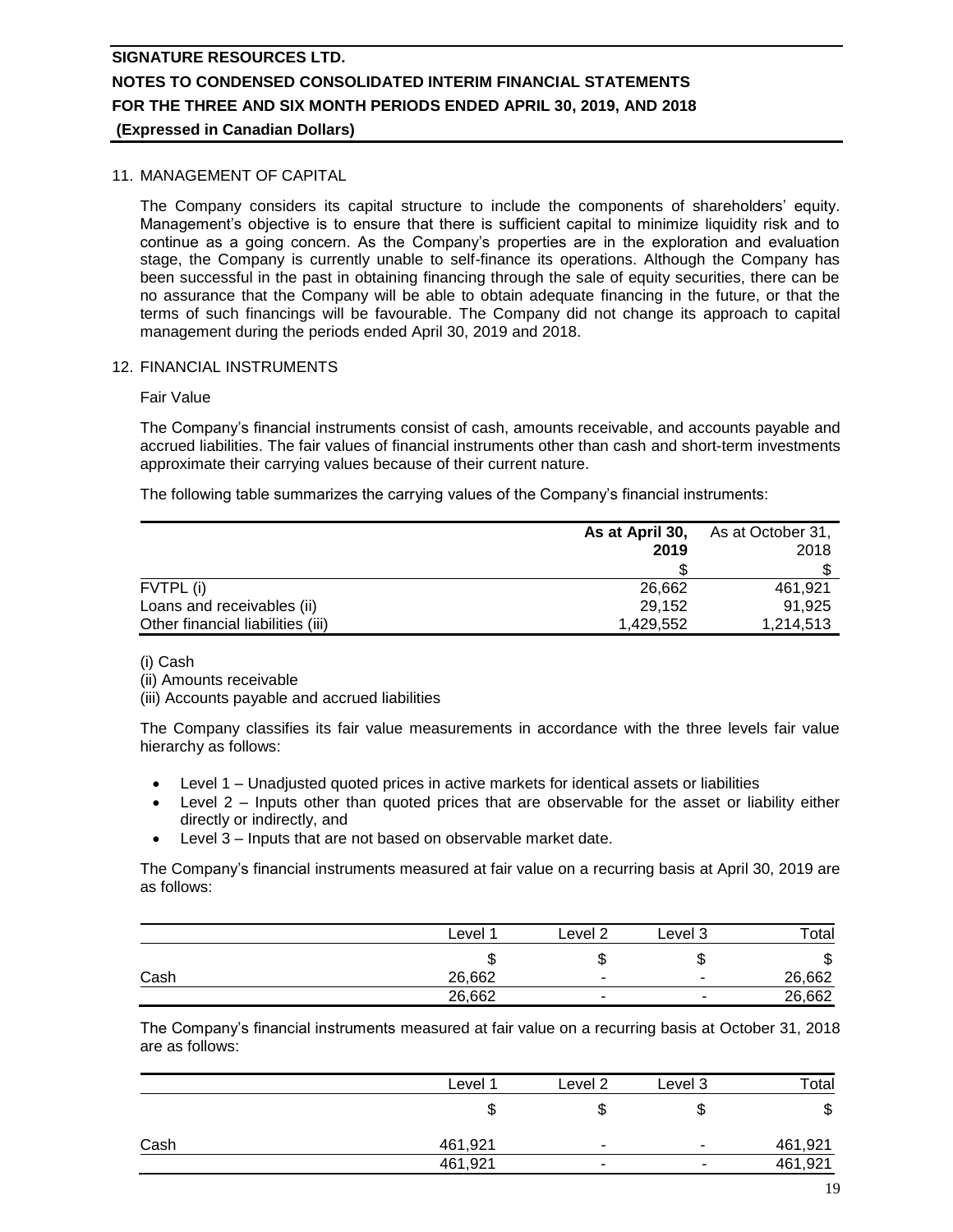### 11. MANAGEMENT OF CAPITAL

The Company considers its capital structure to include the components of shareholders' equity. Management's objective is to ensure that there is sufficient capital to minimize liquidity risk and to continue as a going concern. As the Company's properties are in the exploration and evaluation stage, the Company is currently unable to self-finance its operations. Although the Company has been successful in the past in obtaining financing through the sale of equity securities, there can be no assurance that the Company will be able to obtain adequate financing in the future, or that the terms of such financings will be favourable. The Company did not change its approach to capital management during the periods ended April 30, 2019 and 2018.

### 12. FINANCIAL INSTRUMENTS

### Fair Value

The Company's financial instruments consist of cash, amounts receivable, and accounts payable and accrued liabilities. The fair values of financial instruments other than cash and short-term investments approximate their carrying values because of their current nature.

The following table summarizes the carrying values of the Company's financial instruments:

|                                   | As at April 30, | As at October 31, |
|-----------------------------------|-----------------|-------------------|
|                                   | 2019            | 2018              |
|                                   |                 |                   |
| FVTPL (i)                         | 26.662          | 461.921           |
| Loans and receivables (ii)        | 29,152          | 91.925            |
| Other financial liabilities (iii) | 1.429.552       | 1,214,513         |

(i) Cash

(ii) Amounts receivable

(iii) Accounts payable and accrued liabilities

The Company classifies its fair value measurements in accordance with the three levels fair value hierarchy as follows:

- Level 1 Unadjusted quoted prices in active markets for identical assets or liabilities
- Level 2 Inputs other than quoted prices that are observable for the asset or liability either directly or indirectly, and
- Level 3 Inputs that are not based on observable market date.

The Company's financial instruments measured at fair value on a recurring basis at April 30, 2019 are as follows:

|      | Level  | Level 2                  | Level 3                  | Total  |
|------|--------|--------------------------|--------------------------|--------|
|      | ۰D     |                          | Ψ                        | ง      |
| Cash | 26,662 | $\overline{\phantom{a}}$ | $\overline{\phantom{a}}$ | 26,662 |
|      | 26,662 | $\overline{\phantom{a}}$ | -                        | 26,662 |

The Company's financial instruments measured at fair value on a recurring basis at October 31, 2018 are as follows:

|      | Level <sup>1</sup> | Level <sub>2</sub>       | Level 3                  | Total   |
|------|--------------------|--------------------------|--------------------------|---------|
|      |                    |                          | ۰D                       | จ       |
| Cash | 461,921            |                          | ۰.                       | 461,921 |
|      | 461,921            | $\overline{\phantom{a}}$ | $\overline{\phantom{0}}$ | 461,921 |